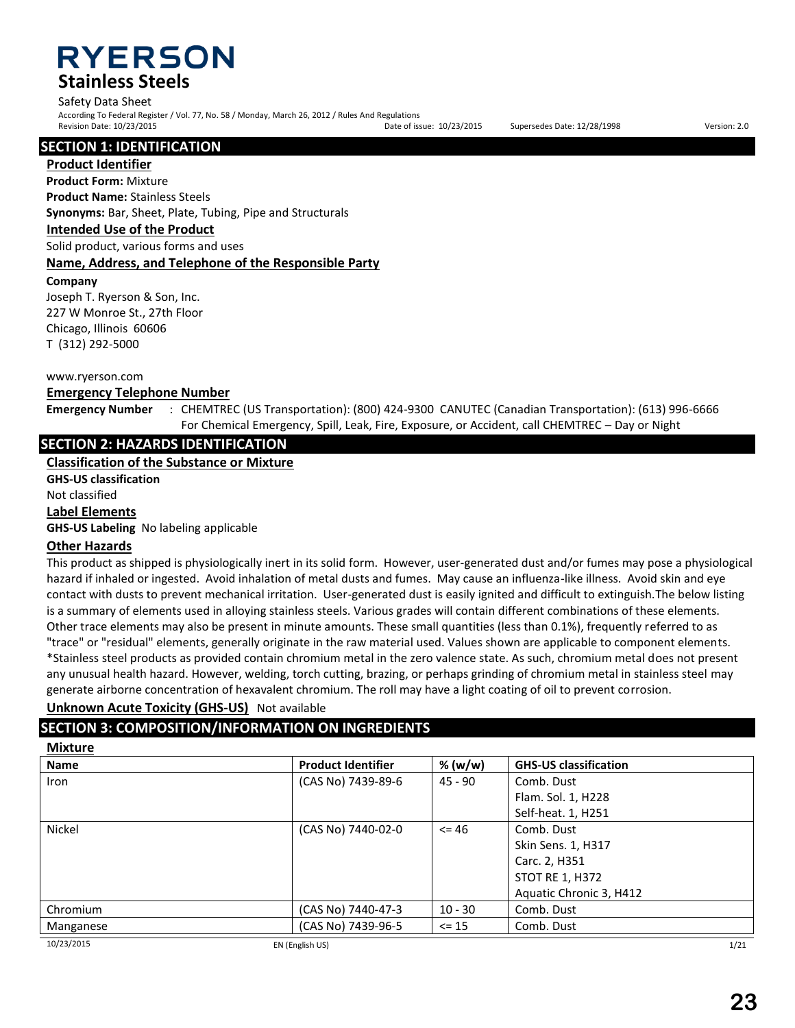**RYERSON Stainless Steels**

### Safety Data Sheet

According To Federal Register / Vol. 77, No. 58 / Monday, March 26, 2012 / Rules And Regulations Revision Date: 10/23/2015 Date of issue: 10/23/2015 Supersedes Date: 12/28/1998 Version: 2.0

### **SECTION 1: IDENTIFICATION**

**Product Identifier**

**Product Form:** Mixture

**Product Name:** Stainless Steels **Synonyms:** Bar, Sheet, Plate, Tubing, Pipe and Structurals

**Intended Use of the Product**

Solid product, various forms and uses

### **Name, Address, and Telephone of the Responsible Party**

**Company** 

Joseph T. Ryerson & Son, Inc. 227 W Monroe St., 27th Floor Chicago, Illinois 60606 T (312) 292-5000

#### www.ryerson.com

### **Emergency Telephone Number**

**Emergency Number** : CHEMTREC (US Transportation): (800) 424-9300 CANUTEC (Canadian Transportation): (613) 996-6666 For Chemical Emergency, Spill, Leak, Fire, Exposure, or Accident, call CHEMTREC – Day or Night

## **SECTION 2: HAZARDS IDENTIFICATION**

**Classification of the Substance or Mixture**

**GHS-US classification**

Not classified

**Label Elements**

**GHS-US Labeling** No labeling applicable

### **Other Hazards**

This product as shipped is physiologically inert in its solid form. However, user-generated dust and/or fumes may pose a physiological hazard if inhaled or ingested. Avoid inhalation of metal dusts and fumes. May cause an influenza-like illness. Avoid skin and eye contact with dusts to prevent mechanical irritation. User-generated dust is easily ignited and difficult to extinguish.The below listing is a summary of elements used in alloying stainless steels. Various grades will contain different combinations of these elements. Other trace elements may also be present in minute amounts. These small quantities (less than 0.1%), frequently referred to as "trace" or "residual" elements, generally originate in the raw material used. Values shown are applicable to component elements. \*Stainless steel products as provided contain chromium metal in the zero valence state. As such, chromium metal does not present any unusual health hazard. However, welding, torch cutting, brazing, or perhaps grinding of chromium metal in stainless steel may generate airborne concentration of hexavalent chromium. The roll may have a light coating of oil to prevent corrosion.

### **Unknown Acute Toxicity (GHS-US)** Not available

# **SECTION 3: COMPOSITION/INFORMATION ON INGREDIENTS**

### **Mixture**

|                    | % (w/w)                                                        | <b>GHS-US classification</b> |
|--------------------|----------------------------------------------------------------|------------------------------|
| (CAS No) 7439-89-6 | 45 - 90                                                        | Comb. Dust                   |
|                    |                                                                | Flam. Sol. 1, H228           |
|                    |                                                                | Self-heat. 1, H251           |
|                    | $\leq$ 46                                                      | Comb. Dust                   |
|                    |                                                                | Skin Sens. 1, H317           |
|                    |                                                                | Carc. 2, H351                |
|                    |                                                                | <b>STOT RE 1, H372</b>       |
|                    |                                                                | Aquatic Chronic 3, H412      |
|                    | $10 - 30$                                                      | Comb. Dust                   |
|                    | $\le$ 15                                                       | Comb. Dust                   |
|                    | (CAS No) 7440-02-0<br>(CAS No) 7440-47-3<br>(CAS No) 7439-96-5 |                              |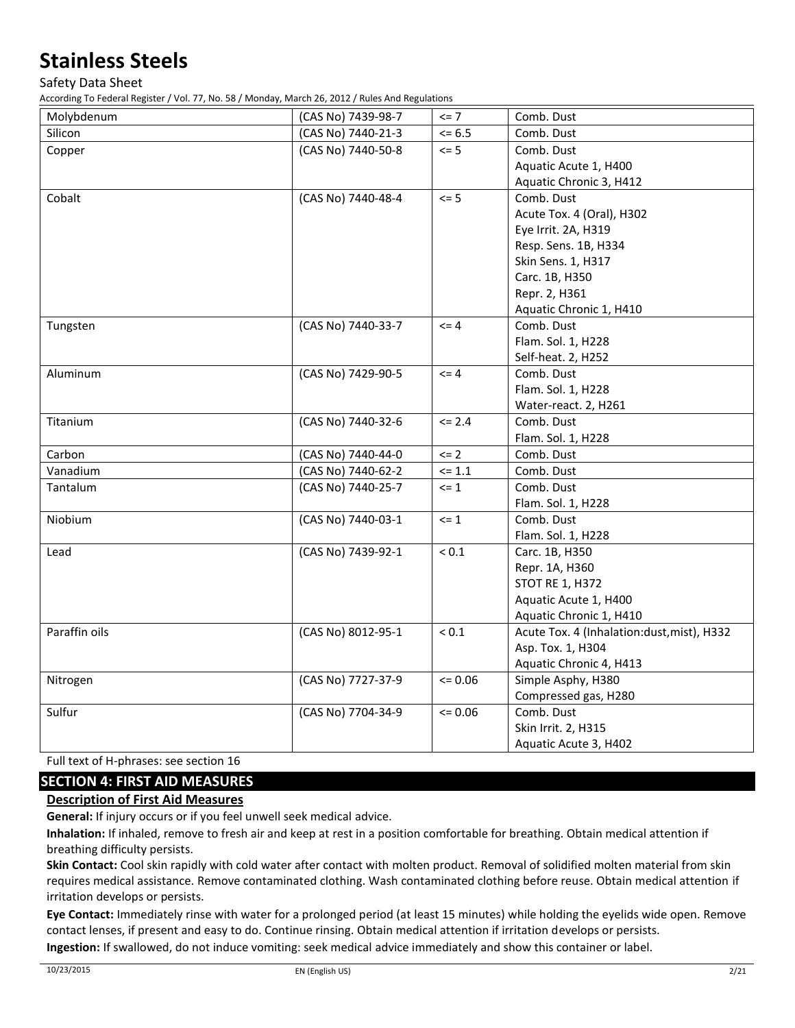Safety Data Sheet

According To Federal Register / Vol. 77, No. 58 / Monday, March 26, 2012 / Rules And Regulations

| Molybdenum    | (CAS No) 7439-98-7 | $\leq$ 7    | Comb. Dust                                 |
|---------------|--------------------|-------------|--------------------------------------------|
| Silicon       | (CAS No) 7440-21-3 | $<= 6.5$    | Comb. Dust                                 |
| Copper        | (CAS No) 7440-50-8 | $\leq$ 5    | Comb. Dust                                 |
|               |                    |             | Aquatic Acute 1, H400                      |
|               |                    |             | Aquatic Chronic 3, H412                    |
| Cobalt        | (CAS No) 7440-48-4 | $\leq$ 5    | Comb. Dust                                 |
|               |                    |             | Acute Tox. 4 (Oral), H302                  |
|               |                    |             | Eye Irrit. 2A, H319                        |
|               |                    |             | Resp. Sens. 1B, H334                       |
|               |                    |             | Skin Sens. 1, H317                         |
|               |                    |             | Carc. 1B, H350                             |
|               |                    |             | Repr. 2, H361                              |
|               |                    |             | Aquatic Chronic 1, H410                    |
| Tungsten      | (CAS No) 7440-33-7 | $\leq$ 4    | Comb. Dust                                 |
|               |                    |             | Flam. Sol. 1, H228                         |
|               |                    |             | Self-heat. 2, H252                         |
| Aluminum      | (CAS No) 7429-90-5 | $\leq 4$    | Comb. Dust                                 |
|               |                    |             | Flam. Sol. 1, H228                         |
|               |                    |             | Water-react. 2, H261                       |
| Titanium      | (CAS No) 7440-32-6 | $\leq$ 2.4  | Comb. Dust                                 |
|               |                    |             | Flam. Sol. 1, H228                         |
| Carbon        | (CAS No) 7440-44-0 | $\leq$ 2    | Comb. Dust                                 |
| Vanadium      | (CAS No) 7440-62-2 | $\le$ 1.1   | Comb. Dust                                 |
| Tantalum      | (CAS No) 7440-25-7 | $\leq$ 1    | Comb. Dust                                 |
|               |                    |             | Flam. Sol. 1, H228                         |
| Niobium       | (CAS No) 7440-03-1 | $\leq 1$    | Comb. Dust                                 |
|               |                    |             | Flam. Sol. 1, H228                         |
| Lead          | (CAS No) 7439-92-1 | ${}_{0.1}$  | Carc. 1B, H350                             |
|               |                    |             | Repr. 1A, H360                             |
|               |                    |             | <b>STOT RE 1, H372</b>                     |
|               |                    |             | Aquatic Acute 1, H400                      |
|               |                    |             | Aquatic Chronic 1, H410                    |
| Paraffin oils | (CAS No) 8012-95-1 | $< 0.1$     | Acute Tox. 4 (Inhalation:dust, mist), H332 |
|               |                    |             | Asp. Tox. 1, H304                          |
|               |                    |             | Aquatic Chronic 4, H413                    |
| Nitrogen      | (CAS No) 7727-37-9 | $\leq 0.06$ | Simple Asphy, H380                         |
|               |                    |             | Compressed gas, H280                       |
| Sulfur        | (CAS No) 7704-34-9 | $= 0.06$    | Comb. Dust                                 |
|               |                    |             | Skin Irrit. 2, H315                        |
|               |                    |             | Aquatic Acute 3, H402                      |

Full text of H-phrases: see section 16

## **SECTION 4: FIRST AID MEASURES**

### **Description of First Aid Measures**

**General:** If injury occurs or if you feel unwell seek medical advice.

**Inhalation:** If inhaled, remove to fresh air and keep at rest in a position comfortable for breathing. Obtain medical attention if breathing difficulty persists.

**Skin Contact:** Cool skin rapidly with cold water after contact with molten product. Removal of solidified molten material from skin requires medical assistance. Remove contaminated clothing. Wash contaminated clothing before reuse. Obtain medical attention if irritation develops or persists.

**Eye Contact:** Immediately rinse with water for a prolonged period (at least 15 minutes) while holding the eyelids wide open. Remove contact lenses, if present and easy to do. Continue rinsing. Obtain medical attention if irritation develops or persists.

**Ingestion:** If swallowed, do not induce vomiting: seek medical advice immediately and show this container or label.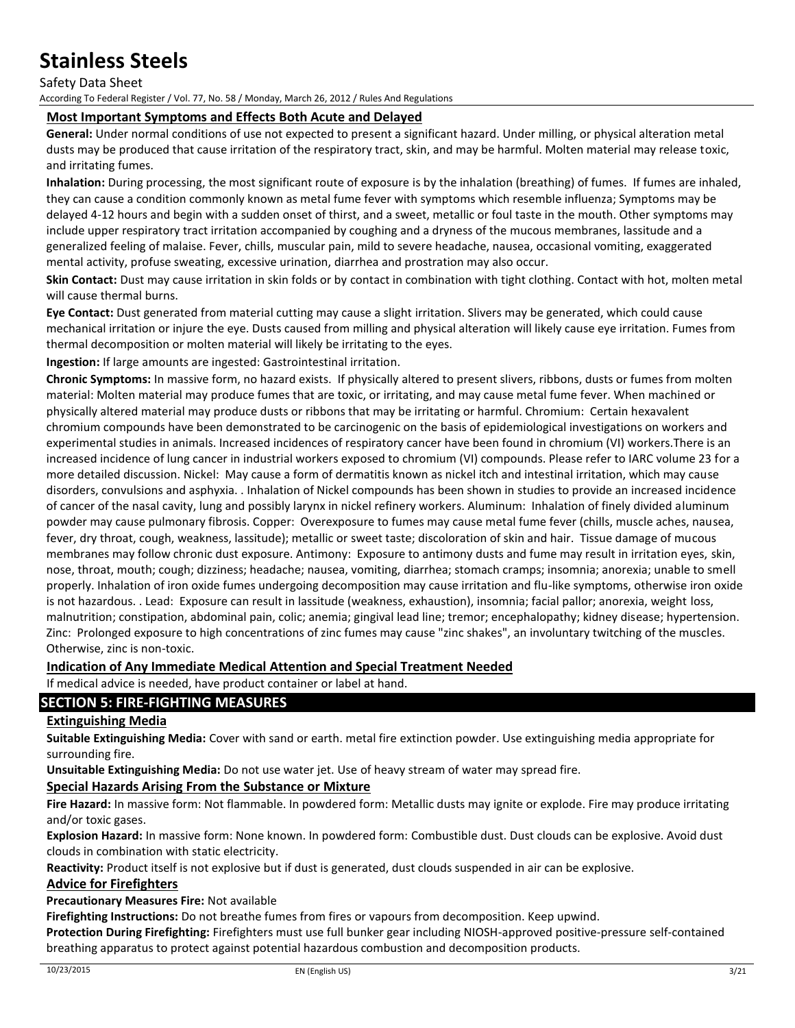#### Safety Data Sheet

According To Federal Register / Vol. 77, No. 58 / Monday, March 26, 2012 / Rules And Regulations

### **Most Important Symptoms and Effects Both Acute and Delayed**

**General:** Under normal conditions of use not expected to present a significant hazard. Under milling, or physical alteration metal dusts may be produced that cause irritation of the respiratory tract, skin, and may be harmful. Molten material may release toxic, and irritating fumes.

**Inhalation:** During processing, the most significant route of exposure is by the inhalation (breathing) of fumes. If fumes are inhaled, they can cause a condition commonly known as metal fume fever with symptoms which resemble influenza; Symptoms may be delayed 4-12 hours and begin with a sudden onset of thirst, and a sweet, metallic or foul taste in the mouth. Other symptoms may include upper respiratory tract irritation accompanied by coughing and a dryness of the mucous membranes, lassitude and a generalized feeling of malaise. Fever, chills, muscular pain, mild to severe headache, nausea, occasional vomiting, exaggerated mental activity, profuse sweating, excessive urination, diarrhea and prostration may also occur.

**Skin Contact:** Dust may cause irritation in skin folds or by contact in combination with tight clothing. Contact with hot, molten metal will cause thermal burns.

**Eye Contact:** Dust generated from material cutting may cause a slight irritation. Slivers may be generated, which could cause mechanical irritation or injure the eye. Dusts caused from milling and physical alteration will likely cause eye irritation. Fumes from thermal decomposition or molten material will likely be irritating to the eyes.

**Ingestion:** If large amounts are ingested: Gastrointestinal irritation.

**Chronic Symptoms:** In massive form, no hazard exists. If physically altered to present slivers, ribbons, dusts or fumes from molten material: Molten material may produce fumes that are toxic, or irritating, and may cause metal fume fever. When machined or physically altered material may produce dusts or ribbons that may be irritating or harmful. Chromium: Certain hexavalent chromium compounds have been demonstrated to be carcinogenic on the basis of epidemiological investigations on workers and experimental studies in animals. Increased incidences of respiratory cancer have been found in chromium (VI) workers.There is an increased incidence of lung cancer in industrial workers exposed to chromium (VI) compounds. Please refer to IARC volume 23 for a more detailed discussion. Nickel: May cause a form of dermatitis known as nickel itch and intestinal irritation, which may cause disorders, convulsions and asphyxia. . Inhalation of Nickel compounds has been shown in studies to provide an increased incidence of cancer of the nasal cavity, lung and possibly larynx in nickel refinery workers. Aluminum: Inhalation of finely divided aluminum powder may cause pulmonary fibrosis. Copper: Overexposure to fumes may cause metal fume fever (chills, muscle aches, nausea, fever, dry throat, cough, weakness, lassitude); metallic or sweet taste; discoloration of skin and hair. Tissue damage of mucous membranes may follow chronic dust exposure. Antimony: Exposure to antimony dusts and fume may result in irritation eyes, skin, nose, throat, mouth; cough; dizziness; headache; nausea, vomiting, diarrhea; stomach cramps; insomnia; anorexia; unable to smell properly. Inhalation of iron oxide fumes undergoing decomposition may cause irritation and flu-like symptoms, otherwise iron oxide is not hazardous. . Lead: Exposure can result in lassitude (weakness, exhaustion), insomnia; facial pallor; anorexia, weight loss, malnutrition; constipation, abdominal pain, colic; anemia; gingival lead line; tremor; encephalopathy; kidney disease; hypertension. Zinc: Prolonged exposure to high concentrations of zinc fumes may cause "zinc shakes", an involuntary twitching of the muscles. Otherwise, zinc is non-toxic.

### **Indication of Any Immediate Medical Attention and Special Treatment Needed**

If medical advice is needed, have product container or label at hand.

### **SECTION 5: FIRE-FIGHTING MEASURES**

### **Extinguishing Media**

**Suitable Extinguishing Media:** Cover with sand or earth. metal fire extinction powder. Use extinguishing media appropriate for surrounding fire.

**Unsuitable Extinguishing Media:** Do not use water jet. Use of heavy stream of water may spread fire.

#### **Special Hazards Arising From the Substance or Mixture**

**Fire Hazard:** In massive form: Not flammable. In powdered form: Metallic dusts may ignite or explode. Fire may produce irritating and/or toxic gases.

**Explosion Hazard:** In massive form: None known. In powdered form: Combustible dust. Dust clouds can be explosive. Avoid dust clouds in combination with static electricity.

**Reactivity:** Product itself is not explosive but if dust is generated, dust clouds suspended in air can be explosive.

### **Advice for Firefighters**

**Precautionary Measures Fire:** Not available

**Firefighting Instructions:** Do not breathe fumes from fires or vapours from decomposition. Keep upwind.

**Protection During Firefighting:** Firefighters must use full bunker gear including NIOSH-approved positive-pressure self-contained breathing apparatus to protect against potential hazardous combustion and decomposition products.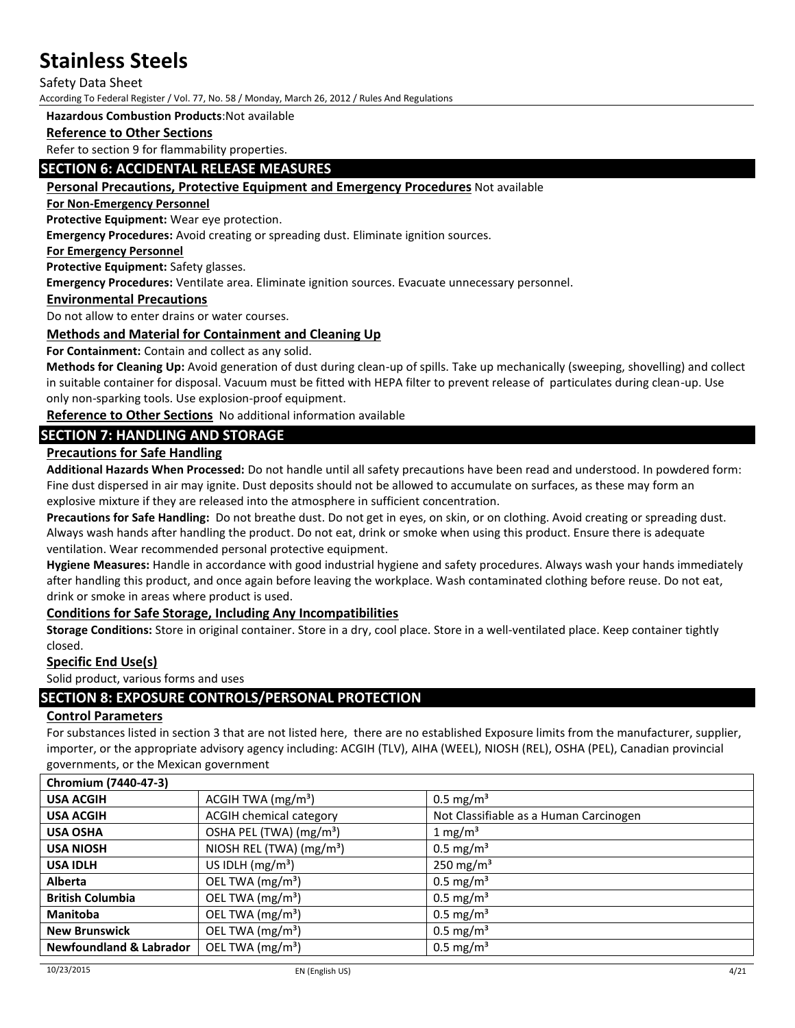Safety Data Sheet

According To Federal Register / Vol. 77, No. 58 / Monday, March 26, 2012 / Rules And Regulations

#### **Hazardous Combustion Products**:Not available

#### **Reference to Other Sections**

Refer to section 9 for flammability properties.

#### **SECTION 6: ACCIDENTAL RELEASE MEASURES**

#### **Personal Precautions, Protective Equipment and Emergency Procedures** Not available

**For Non-Emergency Personnel**

**Protective Equipment:** Wear eye protection.

**Emergency Procedures:** Avoid creating or spreading dust. Eliminate ignition sources.

#### **For Emergency Personnel**

**Protective Equipment:** Safety glasses.

**Emergency Procedures:** Ventilate area. Eliminate ignition sources. Evacuate unnecessary personnel.

**Environmental Precautions**

Do not allow to enter drains or water courses.

#### **Methods and Material for Containment and Cleaning Up**

**For Containment:** Contain and collect as any solid.

**Methods for Cleaning Up:** Avoid generation of dust during clean-up of spills. Take up mechanically (sweeping, shovelling) and collect in suitable container for disposal. Vacuum must be fitted with HEPA filter to prevent release of particulates during clean-up. Use only non-sparking tools. Use explosion-proof equipment.

**Reference to Other Sections** No additional information available

### **SECTION 7: HANDLING AND STORAGE**

### **Precautions for Safe Handling**

**Additional Hazards When Processed:** Do not handle until all safety precautions have been read and understood. In powdered form: Fine dust dispersed in air may ignite. Dust deposits should not be allowed to accumulate on surfaces, as these may form an explosive mixture if they are released into the atmosphere in sufficient concentration.

**Precautions for Safe Handling:** Do not breathe dust. Do not get in eyes, on skin, or on clothing. Avoid creating or spreading dust. Always wash hands after handling the product. Do not eat, drink or smoke when using this product. Ensure there is adequate ventilation. Wear recommended personal protective equipment.

**Hygiene Measures:** Handle in accordance with good industrial hygiene and safety procedures. Always wash your hands immediately after handling this product, and once again before leaving the workplace. Wash contaminated clothing before reuse. Do not eat, drink or smoke in areas where product is used.

#### **Conditions for Safe Storage, Including Any Incompatibilities**

**Storage Conditions:** Store in original container. Store in a dry, cool place. Store in a well-ventilated place. Keep container tightly closed.

#### **Specific End Use(s)**

Solid product, various forms and uses

### **SECTION 8: EXPOSURE CONTROLS/PERSONAL PROTECTION**

#### **Control Parameters**

For substances listed in section 3 that are not listed here, there are no established Exposure limits from the manufacturer, supplier, importer, or the appropriate advisory agency including: ACGIH (TLV), AIHA (WEEL), NIOSH (REL), OSHA (PEL), Canadian provincial governments, or the Mexican government

| Chromium (7440-47-3)               |                                     |                                        |
|------------------------------------|-------------------------------------|----------------------------------------|
| <b>USA ACGIH</b>                   | ACGIH TWA $(mg/m3)$                 | $0.5 \text{ mg/m}^3$                   |
| <b>USA ACGIH</b>                   | <b>ACGIH chemical category</b>      | Not Classifiable as a Human Carcinogen |
| <b>USA OSHA</b>                    | OSHA PEL (TWA) (mg/m <sup>3</sup> ) | 1 mg/m <sup>3</sup>                    |
| <b>USA NIOSH</b>                   | NIOSH REL (TWA) $(mg/m3)$           | $0.5 \text{ mg/m}^3$                   |
| <b>USA IDLH</b>                    | US IDLH $(mg/m3)$                   | 250 mg/m <sup>3</sup>                  |
| <b>Alberta</b>                     | OEL TWA (mg/m <sup>3</sup> )        | $0.5 \text{ mg/m}^3$                   |
| <b>British Columbia</b>            | OEL TWA (mg/m <sup>3</sup> )        | $0.5 \text{ mg/m}^3$                   |
| <b>Manitoba</b>                    | OEL TWA (mg/m <sup>3</sup> )        | $0.5 \text{ mg/m}^3$                   |
| <b>New Brunswick</b>               | OEL TWA (mg/m <sup>3</sup> )        | $0.5 \text{ mg/m}^3$                   |
| <b>Newfoundland &amp; Labrador</b> | OEL TWA (mg/m <sup>3</sup> )        | $0.5 \text{ mg/m}^3$                   |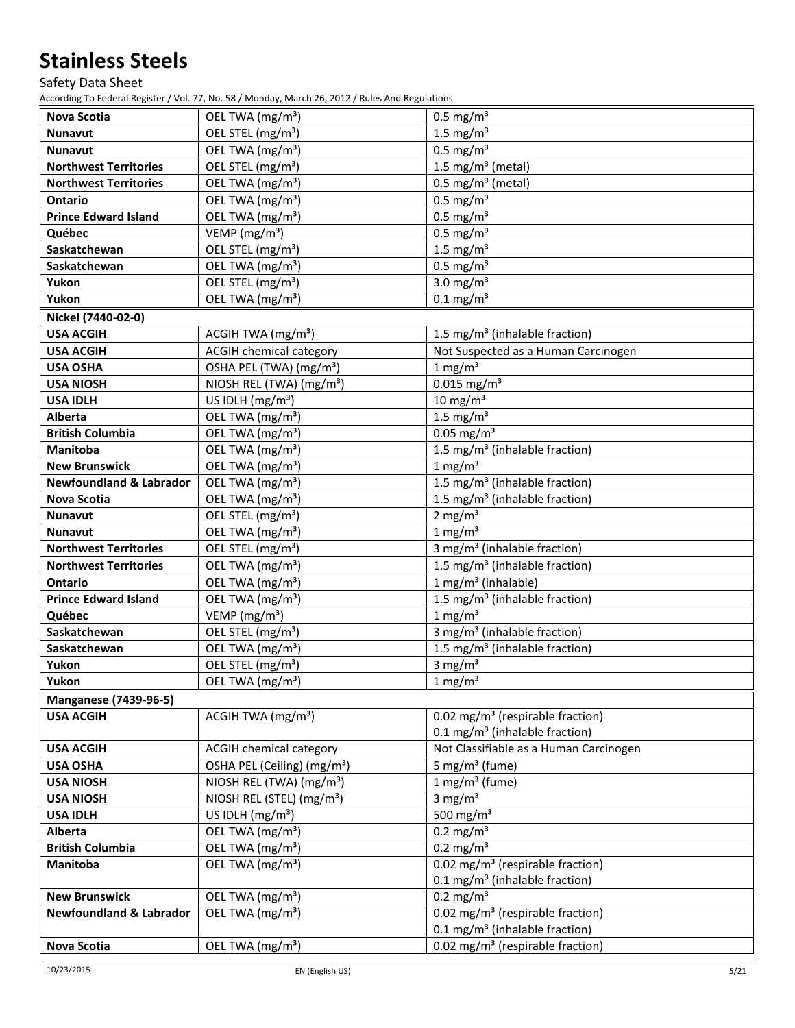# Safety Data Sheet

| <b>Nova Scotia</b><br>$0.5$ mg/m <sup>3</sup><br>OEL TWA (mg/m <sup>3</sup> )<br>OEL STEL (mg/m <sup>3</sup> )<br>$1.5 \text{ mg/m}^3$<br><b>Nunavut</b><br>$0.5$ mg/m <sup>3</sup><br>OEL TWA (mg/m <sup>3</sup> )<br><b>Nunavut</b><br>OEL STEL (mg/m <sup>3</sup> )<br>1.5 mg/m <sup>3</sup> (metal)<br><b>Northwest Territories</b><br>$0.5$ mg/m <sup>3</sup> (metal)<br>OEL TWA (mg/m <sup>3</sup> )<br><b>Northwest Territories</b><br>OEL TWA (mg/m <sup>3</sup> )<br>$0.5$ mg/m <sup>3</sup><br><b>Ontario</b> |  |
|-------------------------------------------------------------------------------------------------------------------------------------------------------------------------------------------------------------------------------------------------------------------------------------------------------------------------------------------------------------------------------------------------------------------------------------------------------------------------------------------------------------------------|--|
|                                                                                                                                                                                                                                                                                                                                                                                                                                                                                                                         |  |
|                                                                                                                                                                                                                                                                                                                                                                                                                                                                                                                         |  |
|                                                                                                                                                                                                                                                                                                                                                                                                                                                                                                                         |  |
|                                                                                                                                                                                                                                                                                                                                                                                                                                                                                                                         |  |
|                                                                                                                                                                                                                                                                                                                                                                                                                                                                                                                         |  |
| $0.5$ mg/m <sup>3</sup><br><b>Prince Edward Island</b><br>OEL TWA (mg/m <sup>3</sup> )                                                                                                                                                                                                                                                                                                                                                                                                                                  |  |
| VEMP (mg/m <sup>3</sup> )<br>$0.5$ mg/m <sup>3</sup><br>Québec                                                                                                                                                                                                                                                                                                                                                                                                                                                          |  |
| Saskatchewan<br>OEL STEL (mg/m <sup>3</sup> )<br>$1.5 \text{ mg/m}^3$                                                                                                                                                                                                                                                                                                                                                                                                                                                   |  |
| OEL TWA (mg/m <sup>3</sup> )<br>$0.5$ mg/m <sup>3</sup><br>Saskatchewan                                                                                                                                                                                                                                                                                                                                                                                                                                                 |  |
| OEL STEL (mg/m <sup>3</sup> )<br>3.0 mg/ $m3$<br>Yukon                                                                                                                                                                                                                                                                                                                                                                                                                                                                  |  |
| OEL TWA (mg/m <sup>3</sup> )<br>$0.1$ mg/m <sup>3</sup><br>Yukon                                                                                                                                                                                                                                                                                                                                                                                                                                                        |  |
| Nickel (7440-02-0)                                                                                                                                                                                                                                                                                                                                                                                                                                                                                                      |  |
| <b>USA ACGIH</b><br>ACGIH TWA $(mg/m3)$<br>1.5 mg/m <sup>3</sup> (inhalable fraction)                                                                                                                                                                                                                                                                                                                                                                                                                                   |  |
| <b>ACGIH chemical category</b><br>Not Suspected as a Human Carcinogen<br><b>USA ACGIH</b>                                                                                                                                                                                                                                                                                                                                                                                                                               |  |
| OSHA PEL (TWA) (mg/m <sup>3</sup> )<br>1 mg/m <sup>3</sup><br><b>USA OSHA</b>                                                                                                                                                                                                                                                                                                                                                                                                                                           |  |
| $0.015$ mg/m <sup>3</sup><br>NIOSH REL (TWA) (mg/m <sup>3</sup> )<br><b>USA NIOSH</b>                                                                                                                                                                                                                                                                                                                                                                                                                                   |  |
| $10 \text{ mg/m}^3$<br>US IDLH $(mg/m3)$<br><b>USA IDLH</b>                                                                                                                                                                                                                                                                                                                                                                                                                                                             |  |
| OEL TWA (mg/m <sup>3</sup> )<br>$1.5 \text{ mg/m}^3$<br>Alberta                                                                                                                                                                                                                                                                                                                                                                                                                                                         |  |
| OEL TWA (mg/m <sup>3</sup> )<br>$0.05$ mg/m <sup>3</sup><br><b>British Columbia</b>                                                                                                                                                                                                                                                                                                                                                                                                                                     |  |
| 1.5 mg/m <sup>3</sup> (inhalable fraction)<br>OEL TWA (mg/m <sup>3</sup> )<br>Manitoba                                                                                                                                                                                                                                                                                                                                                                                                                                  |  |
| $1$ mg/m <sup>3</sup><br>OEL TWA (mg/m <sup>3</sup> )<br><b>New Brunswick</b>                                                                                                                                                                                                                                                                                                                                                                                                                                           |  |
| OEL TWA (mg/m <sup>3</sup> )<br><b>Newfoundland &amp; Labrador</b><br>1.5 mg/m <sup>3</sup> (inhalable fraction)                                                                                                                                                                                                                                                                                                                                                                                                        |  |
| OEL TWA (mg/m <sup>3</sup> )<br>1.5 mg/m <sup>3</sup> (inhalable fraction)<br><b>Nova Scotia</b>                                                                                                                                                                                                                                                                                                                                                                                                                        |  |
| OEL STEL (mg/m <sup>3</sup> )<br>2 mg/ $m3$<br><b>Nunavut</b>                                                                                                                                                                                                                                                                                                                                                                                                                                                           |  |
| $1$ mg/m <sup>3</sup><br>OEL TWA (mg/m <sup>3</sup> )<br><b>Nunavut</b>                                                                                                                                                                                                                                                                                                                                                                                                                                                 |  |
| OEL STEL (mg/m <sup>3</sup> )<br>3 mg/m <sup>3</sup> (inhalable fraction)<br><b>Northwest Territories</b>                                                                                                                                                                                                                                                                                                                                                                                                               |  |
| 1.5 mg/m <sup>3</sup> (inhalable fraction)<br>OEL TWA (mg/m <sup>3</sup> )<br><b>Northwest Territories</b>                                                                                                                                                                                                                                                                                                                                                                                                              |  |
| OEL TWA (mg/m <sup>3</sup> )<br>$1 mg/m3$ (inhalable)<br><b>Ontario</b>                                                                                                                                                                                                                                                                                                                                                                                                                                                 |  |
| OEL TWA (mg/m <sup>3</sup> )<br>1.5 mg/m <sup>3</sup> (inhalable fraction)<br><b>Prince Edward Island</b>                                                                                                                                                                                                                                                                                                                                                                                                               |  |
| VEMP (mg/m <sup>3</sup> )<br>$1 \text{ mg/m}^3$<br>Québec                                                                                                                                                                                                                                                                                                                                                                                                                                                               |  |
| OEL STEL (mg/m <sup>3</sup> )<br>3 mg/m <sup>3</sup> (inhalable fraction)<br>Saskatchewan                                                                                                                                                                                                                                                                                                                                                                                                                               |  |
| OEL TWA (mg/m <sup>3</sup> )<br>1.5 mg/m <sup>3</sup> (inhalable fraction)<br>Saskatchewan                                                                                                                                                                                                                                                                                                                                                                                                                              |  |
| OEL STEL (mg/m <sup>3</sup> )<br>$3$ mg/m <sup>3</sup><br>Yukon                                                                                                                                                                                                                                                                                                                                                                                                                                                         |  |
| $1 \text{ mg/m}^3$<br>OEL TWA (mg/m <sup>3</sup> )<br>Yukon                                                                                                                                                                                                                                                                                                                                                                                                                                                             |  |
| <b>Manganese (7439-96-5)</b>                                                                                                                                                                                                                                                                                                                                                                                                                                                                                            |  |
| 0.02 mg/m <sup>3</sup> (respirable fraction)<br><b>USA ACGIH</b><br>ACGIH TWA $(mg/m3)$                                                                                                                                                                                                                                                                                                                                                                                                                                 |  |
| $0.1 \text{ mg/m}^3$ (inhalable fraction)                                                                                                                                                                                                                                                                                                                                                                                                                                                                               |  |
| Not Classifiable as a Human Carcinogen<br><b>USA ACGIH</b><br><b>ACGIH chemical category</b>                                                                                                                                                                                                                                                                                                                                                                                                                            |  |
| OSHA PEL (Ceiling) (mg/m <sup>3</sup> )<br>5 mg/m <sup>3</sup> (fume)<br><b>USA OSHA</b>                                                                                                                                                                                                                                                                                                                                                                                                                                |  |
| $1$ mg/m <sup>3</sup> (fume)<br>NIOSH REL (TWA) (mg/m <sup>3</sup> )<br><b>USA NIOSH</b>                                                                                                                                                                                                                                                                                                                                                                                                                                |  |
| 3 mg/ $m3$<br>NIOSH REL (STEL) (mg/m <sup>3</sup> )<br><b>USA NIOSH</b>                                                                                                                                                                                                                                                                                                                                                                                                                                                 |  |
| 500 mg/m $3$<br>US IDLH $(mg/m3)$<br><b>USA IDLH</b>                                                                                                                                                                                                                                                                                                                                                                                                                                                                    |  |
| $0.2$ mg/m <sup>3</sup><br>OEL TWA (mg/m <sup>3</sup> )<br>Alberta                                                                                                                                                                                                                                                                                                                                                                                                                                                      |  |
| $0.2 \text{ mg/m}^3$<br>OEL TWA (mg/m <sup>3</sup> )<br><b>British Columbia</b>                                                                                                                                                                                                                                                                                                                                                                                                                                         |  |
| 0.02 mg/m <sup>3</sup> (respirable fraction)<br>OEL TWA (mg/m <sup>3</sup> )<br>Manitoba                                                                                                                                                                                                                                                                                                                                                                                                                                |  |
| 0.1 mg/m <sup>3</sup> (inhalable fraction)                                                                                                                                                                                                                                                                                                                                                                                                                                                                              |  |
| <b>New Brunswick</b><br>OEL TWA (mg/m <sup>3</sup> )<br>$0.2 \text{ mg/m}^3$                                                                                                                                                                                                                                                                                                                                                                                                                                            |  |
| OEL TWA (mg/m <sup>3</sup> )<br><b>Newfoundland &amp; Labrador</b><br>0.02 mg/m <sup>3</sup> (respirable fraction)                                                                                                                                                                                                                                                                                                                                                                                                      |  |
| 0.1 mg/m <sup>3</sup> (inhalable fraction)                                                                                                                                                                                                                                                                                                                                                                                                                                                                              |  |
| OEL TWA (mg/m <sup>3</sup> )<br>0.02 mg/m <sup>3</sup> (respirable fraction)<br><b>Nova Scotia</b>                                                                                                                                                                                                                                                                                                                                                                                                                      |  |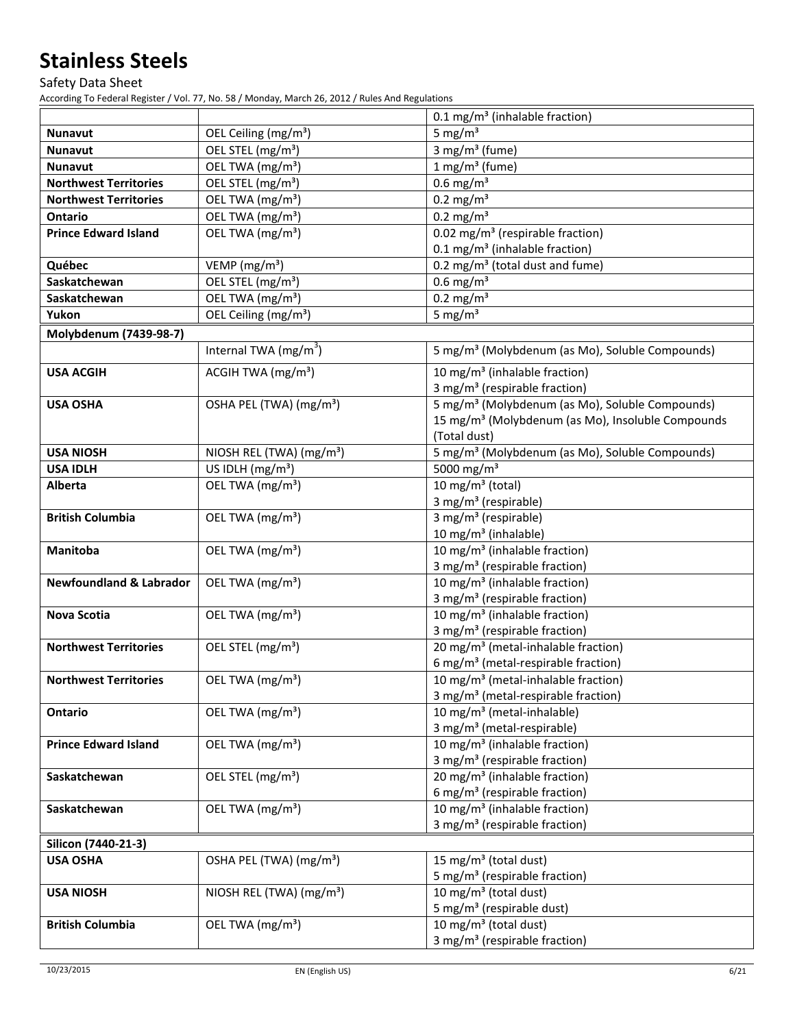Safety Data Sheet

|                                    |                                      | 0.1 mg/m <sup>3</sup> (inhalable fraction)                                    |
|------------------------------------|--------------------------------------|-------------------------------------------------------------------------------|
| <b>Nunavut</b>                     | OEL Ceiling (mg/m <sup>3</sup> )     | 5 mg/ $m3$                                                                    |
| <b>Nunavut</b>                     | OEL STEL (mg/m <sup>3</sup> )        | $\overline{3}$ mg/m <sup>3</sup> (fume)                                       |
| <b>Nunavut</b>                     | OEL TWA (mg/m <sup>3</sup> )         | $1 mg/m3$ (fume)                                                              |
| <b>Northwest Territories</b>       | OEL STEL (mg/m <sup>3</sup> )        | $0.6$ mg/m <sup>3</sup>                                                       |
| <b>Northwest Territories</b>       | OEL TWA (mg/m <sup>3</sup> )         | $0.2$ mg/m <sup>3</sup>                                                       |
| Ontario                            | OEL TWA (mg/m <sup>3</sup> )         | $0.2 \text{ mg/m}^3$                                                          |
| <b>Prince Edward Island</b>        | OEL TWA (mg/m <sup>3</sup> )         | 0.02 mg/m <sup>3</sup> (respirable fraction)                                  |
|                                    |                                      | $0.1 \text{ mg/m}^3$ (inhalable fraction)                                     |
| Québec                             | VEMP ( $mg/m3$ )                     | 0.2 mg/m <sup>3</sup> (total dust and fume)                                   |
| Saskatchewan                       | OEL STEL (mg/m <sup>3</sup> )        | $0.6$ mg/m <sup>3</sup>                                                       |
| Saskatchewan                       | OEL TWA (mg/m <sup>3</sup> )         | $0.2 \text{ mg/m}^3$                                                          |
| Yukon                              | OEL Ceiling (mg/m <sup>3</sup> )     | 5 mg/ $m3$                                                                    |
| Molybdenum (7439-98-7)             |                                      |                                                                               |
|                                    | Internal TWA $(mg/m^3)$              | 5 mg/m <sup>3</sup> (Molybdenum (as Mo), Soluble Compounds)                   |
| <b>USA ACGIH</b>                   | ACGIH TWA $(mg/m3)$                  | 10 mg/m <sup>3</sup> (inhalable fraction)                                     |
|                                    |                                      | 3 mg/m <sup>3</sup> (respirable fraction)                                     |
| <b>USA OSHA</b>                    | OSHA PEL (TWA) (mg/m <sup>3</sup> )  | 5 mg/m <sup>3</sup> (Molybdenum (as Mo), Soluble Compounds)                   |
|                                    |                                      | 15 mg/m <sup>3</sup> (Molybdenum (as Mo), Insoluble Compounds                 |
|                                    |                                      | (Total dust)                                                                  |
| <b>USA NIOSH</b>                   | NIOSH REL (TWA) (mg/m <sup>3</sup> ) | 5 mg/m <sup>3</sup> (Molybdenum (as Mo), Soluble Compounds)                   |
| <b>USA IDLH</b>                    | US IDLH (mg/m <sup>3</sup> )         | 5000 mg/m <sup>3</sup>                                                        |
| Alberta                            | OEL TWA (mg/m <sup>3</sup> )         | 10 mg/m <sup>3</sup> (total)                                                  |
|                                    |                                      | 3 mg/m <sup>3</sup> (respirable)                                              |
| <b>British Columbia</b>            | OEL TWA (mg/m <sup>3</sup> )         | 3 mg/m <sup>3</sup> (respirable)                                              |
| <b>Manitoba</b>                    | OEL TWA (mg/m <sup>3</sup> )         | 10 mg/m <sup>3</sup> (inhalable)<br>10 mg/m <sup>3</sup> (inhalable fraction) |
|                                    |                                      | 3 mg/m <sup>3</sup> (respirable fraction)                                     |
| <b>Newfoundland &amp; Labrador</b> | OEL TWA (mg/m <sup>3</sup> )         | 10 mg/m <sup>3</sup> (inhalable fraction)                                     |
|                                    |                                      | 3 mg/m <sup>3</sup> (respirable fraction)                                     |
| <b>Nova Scotia</b>                 | OEL TWA (mg/m <sup>3</sup> )         | 10 mg/m <sup>3</sup> (inhalable fraction)                                     |
|                                    |                                      | 3 mg/m <sup>3</sup> (respirable fraction)                                     |
| <b>Northwest Territories</b>       | OEL STEL (mg/m <sup>3</sup> )        | 20 mg/m <sup>3</sup> (metal-inhalable fraction)                               |
|                                    |                                      | 6 mg/m <sup>3</sup> (metal-respirable fraction)                               |
| <b>Northwest Territories</b>       | OEL TWA (mg/m <sup>3</sup> )         | 10 mg/m <sup>3</sup> (metal-inhalable fraction)                               |
|                                    |                                      | 3 mg/m <sup>3</sup> (metal-respirable fraction)                               |
| <b>Ontario</b>                     | OEL TWA (mg/m <sup>3</sup> )         | 10 mg/m <sup>3</sup> (metal-inhalable)                                        |
|                                    |                                      | 3 mg/m <sup>3</sup> (metal-respirable)                                        |
| <b>Prince Edward Island</b>        | OEL TWA (mg/m <sup>3</sup> )         | 10 mg/m <sup>3</sup> (inhalable fraction)                                     |
|                                    |                                      | 3 mg/m <sup>3</sup> (respirable fraction)                                     |
| Saskatchewan                       | OEL STEL (mg/m <sup>3</sup> )        | 20 mg/m <sup>3</sup> (inhalable fraction)                                     |
|                                    |                                      | 6 mg/m <sup>3</sup> (respirable fraction)                                     |
| Saskatchewan                       | OEL TWA (mg/m <sup>3</sup> )         | 10 mg/m <sup>3</sup> (inhalable fraction)                                     |
|                                    |                                      | 3 mg/m <sup>3</sup> (respirable fraction)                                     |
| Silicon (7440-21-3)                |                                      |                                                                               |
| <b>USA OSHA</b>                    | OSHA PEL (TWA) (mg/m <sup>3</sup> )  | 15 mg/m <sup>3</sup> (total dust)                                             |
|                                    |                                      | 5 mg/m <sup>3</sup> (respirable fraction)                                     |
| <b>USA NIOSH</b>                   | NIOSH REL (TWA) (mg/m <sup>3</sup> ) | 10 mg/m <sup>3</sup> (total dust)                                             |
|                                    |                                      | 5 mg/m <sup>3</sup> (respirable dust)                                         |
| <b>British Columbia</b>            | OEL TWA (mg/m <sup>3</sup> )         | 10 mg/m <sup>3</sup> (total dust)                                             |
|                                    |                                      | 3 mg/m <sup>3</sup> (respirable fraction)                                     |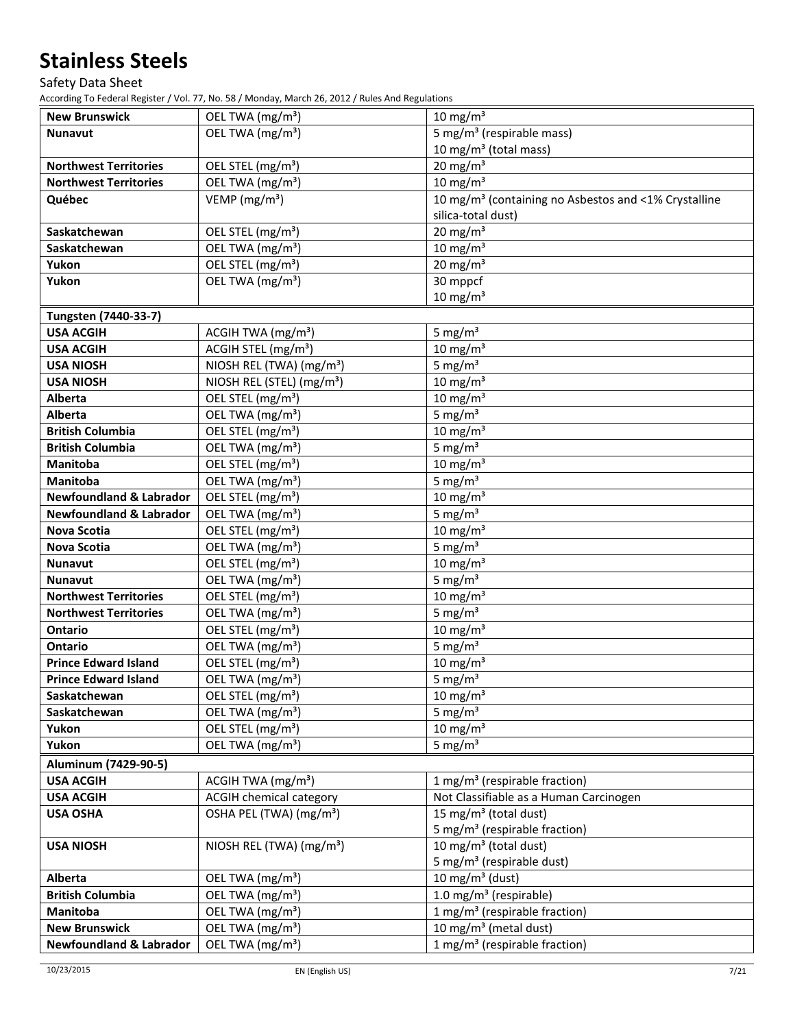Safety Data Sheet

| <b>New Brunswick</b>               | OEL TWA (mg/m <sup>3</sup> )          | $10 \text{ mg/m}^3$                                              |
|------------------------------------|---------------------------------------|------------------------------------------------------------------|
| <b>Nunavut</b>                     | OEL TWA (mg/m <sup>3</sup> )          | 5 mg/m <sup>3</sup> (respirable mass)                            |
|                                    |                                       | 10 mg/m <sup>3</sup> (total mass)                                |
| <b>Northwest Territories</b>       | OEL STEL (mg/m <sup>3</sup> )         | $20$ mg/m <sup>3</sup>                                           |
| <b>Northwest Territories</b>       | OEL TWA (mg/m <sup>3</sup> )          | $10 \text{ mg/m}^3$                                              |
| Québec                             | VEMP ( $mg/m3$ )                      | 10 mg/m <sup>3</sup> (containing no Asbestos and <1% Crystalline |
|                                    |                                       | silica-total dust)                                               |
| Saskatchewan                       | OEL STEL (mg/m <sup>3</sup> )         | $20$ mg/m <sup>3</sup>                                           |
| Saskatchewan                       | OEL TWA (mg/m <sup>3</sup> )          | $10 \text{ mg/m}^3$                                              |
| Yukon                              | OEL STEL (mg/m <sup>3</sup> )         | $20$ mg/m <sup>3</sup>                                           |
| Yukon                              | OEL TWA (mg/m <sup>3</sup> )          | 30 mppcf                                                         |
|                                    |                                       | $10 \text{ mg/m}^3$                                              |
| Tungsten (7440-33-7)               |                                       |                                                                  |
| <b>USA ACGIH</b>                   | ACGIH TWA (mg/m <sup>3</sup> )        | 5 mg/ $m3$                                                       |
| <b>USA ACGIH</b>                   | ACGIH STEL (mg/m <sup>3</sup> )       | $10 \text{ mg/m}^3$                                              |
| <b>USA NIOSH</b>                   | NIOSH REL (TWA) (mg/m <sup>3</sup> )  | 5 mg/ $m3$                                                       |
| <b>USA NIOSH</b>                   | NIOSH REL (STEL) (mg/m <sup>3</sup> ) | $10 \text{ mg/m}^3$                                              |
| Alberta                            | OEL STEL (mg/m <sup>3</sup> )         | $10 \text{ mg/m}^3$                                              |
| Alberta                            | OEL TWA (mg/m <sup>3</sup> )          | 5 mg/ $m3$                                                       |
| <b>British Columbia</b>            | OEL STEL (mg/m <sup>3</sup> )         | $10 \text{ mg/m}^3$                                              |
| <b>British Columbia</b>            | OEL TWA (mg/m <sup>3</sup> )          | 5 mg/ $m3$                                                       |
| Manitoba                           | OEL STEL (mg/m <sup>3</sup> )         | $10 \text{ mg/m}^3$                                              |
| <b>Manitoba</b>                    | OEL TWA (mg/m <sup>3</sup> )          | 5 mg/ $m3$                                                       |
| <b>Newfoundland &amp; Labrador</b> | OEL STEL (mg/m <sup>3</sup> )         | $10 \text{ mg/m}^3$                                              |
| <b>Newfoundland &amp; Labrador</b> | OEL TWA (mg/m <sup>3</sup> )          | 5 mg/ $m3$                                                       |
| <b>Nova Scotia</b>                 | OEL STEL (mg/m <sup>3</sup> )         | $10 \text{ mg/m}^3$                                              |
| <b>Nova Scotia</b>                 | OEL TWA (mg/m <sup>3</sup> )          | 5 mg/ $m3$                                                       |
| <b>Nunavut</b>                     | OEL STEL (mg/m <sup>3</sup> )         | $10 \text{ mg/m}^3$                                              |
| <b>Nunavut</b>                     | OEL TWA (mg/m <sup>3</sup> )          | 5 mg/ $m3$                                                       |
| <b>Northwest Territories</b>       | OEL STEL (mg/m <sup>3</sup> )         | $10 \text{ mg/m}^3$                                              |
| <b>Northwest Territories</b>       | OEL TWA (mg/m <sup>3</sup> )          | 5 mg/ $m3$                                                       |
| Ontario                            | OEL STEL (mg/m <sup>3</sup> )         | $10 \text{ mg/m}^3$                                              |
| Ontario                            | OEL TWA (mg/m <sup>3</sup> )          | 5 mg/ $m3$                                                       |
| <b>Prince Edward Island</b>        | OEL STEL (mg/m <sup>3</sup> )         | $10 \text{ mg/m}^3$                                              |
| <b>Prince Edward Island</b>        | OEL TWA (mg/m <sup>3</sup> )          | 5 mg/ $m3$                                                       |
| Saskatchewan                       | OEL STEL (mg/m <sup>3</sup> )         | $10 \text{ mg/m}^3$                                              |
| Saskatchewan                       | OEL TWA (mg/m <sup>3</sup> )          | 5 mg/ $m3$                                                       |
| Yukon                              | OEL STEL (mg/m <sup>3</sup> )         | $10 \text{ mg/m}^3$                                              |
| Yukon                              | OEL TWA (mg/m <sup>3</sup> )          | 5 mg/ $m3$                                                       |
| Aluminum (7429-90-5)               |                                       |                                                                  |
| <b>USA ACGIH</b>                   | ACGIH TWA $(mg/m3)$                   | 1 mg/m <sup>3</sup> (respirable fraction)                        |
| <b>USA ACGIH</b>                   | <b>ACGIH chemical category</b>        | Not Classifiable as a Human Carcinogen                           |
| <b>USA OSHA</b>                    | OSHA PEL (TWA) (mg/m <sup>3</sup> )   | 15 mg/m <sup>3</sup> (total dust)                                |
|                                    |                                       | 5 mg/m <sup>3</sup> (respirable fraction)                        |
| <b>USA NIOSH</b>                   | NIOSH REL (TWA) (mg/m <sup>3</sup> )  | 10 mg/m <sup>3</sup> (total dust)                                |
|                                    |                                       | 5 mg/m <sup>3</sup> (respirable dust)                            |
| Alberta                            | OEL TWA (mg/m <sup>3</sup> )          | 10 mg/m <sup>3</sup> (dust)                                      |
| <b>British Columbia</b>            | OEL TWA (mg/m <sup>3</sup> )          | 1.0 mg/m <sup>3</sup> (respirable)                               |
| Manitoba                           | OEL TWA (mg/m <sup>3</sup> )          | 1 mg/m <sup>3</sup> (respirable fraction)                        |
| <b>New Brunswick</b>               | OEL TWA (mg/m <sup>3</sup> )          | $\overline{10}$ mg/m <sup>3</sup> (metal dust)                   |
| <b>Newfoundland &amp; Labrador</b> | OEL TWA (mg/m <sup>3</sup> )          | 1 mg/m <sup>3</sup> (respirable fraction)                        |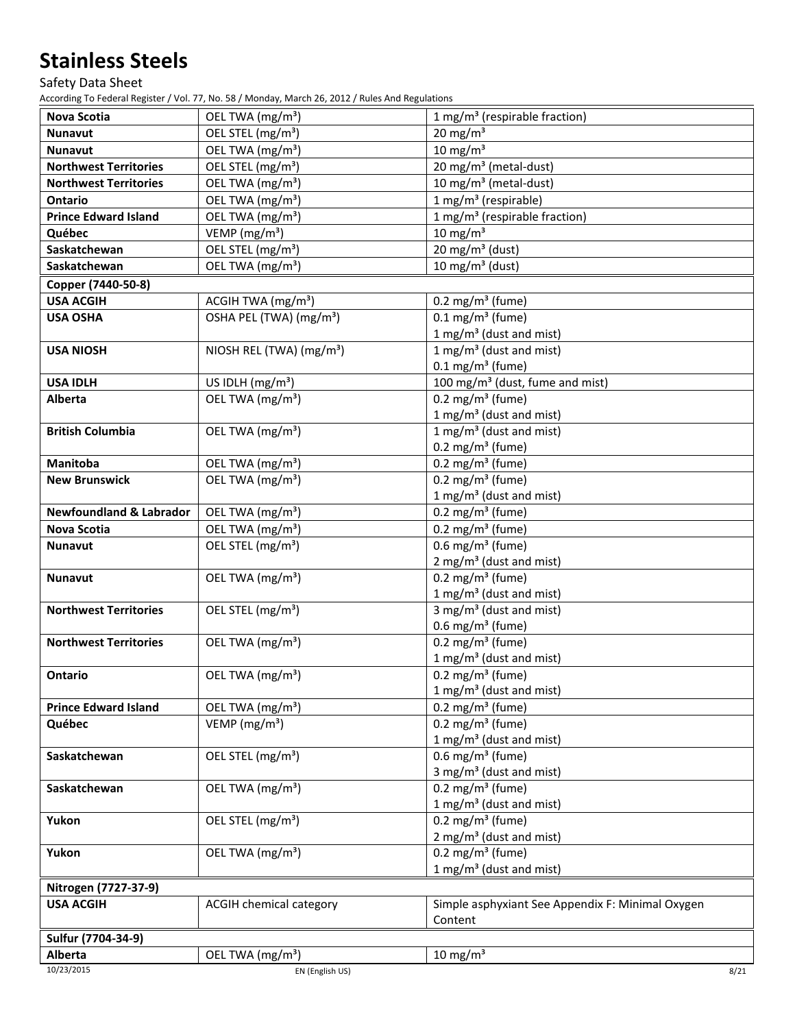### Safety Data Sheet

| <b>Nova Scotia</b>                 | OEL TWA (mg/m <sup>3</sup> )         | 1 mg/m <sup>3</sup> (respirable fraction)        |
|------------------------------------|--------------------------------------|--------------------------------------------------|
| <b>Nunavut</b>                     | OEL STEL (mg/m <sup>3</sup> )        | $20 \text{ mg/m}^3$                              |
| <b>Nunavut</b>                     | OEL TWA (mg/m <sup>3</sup> )         | $10 \text{ mg/m}^3$                              |
| <b>Northwest Territories</b>       | OEL STEL (mg/m <sup>3</sup> )        | 20 mg/m <sup>3</sup> (metal-dust)                |
| <b>Northwest Territories</b>       | OEL TWA (mg/m <sup>3</sup> )         | 10 mg/m <sup>3</sup> (metal-dust)                |
| Ontario                            | OEL TWA (mg/m <sup>3</sup> )         | $1 mg/m3$ (respirable)                           |
| <b>Prince Edward Island</b>        | OEL TWA (mg/m <sup>3</sup> )         | 1 mg/m <sup>3</sup> (respirable fraction)        |
| Québec                             | VEMP ( $mg/m3$ )                     | $10 \text{ mg/m}^3$                              |
| Saskatchewan                       | OEL STEL (mg/m <sup>3</sup> )        | 20 mg/m <sup>3</sup> (dust)                      |
| Saskatchewan                       | OEL TWA (mg/m <sup>3</sup> )         | 10 mg/m <sup>3</sup> (dust)                      |
| Copper (7440-50-8)                 |                                      |                                                  |
| <b>USA ACGIH</b>                   | ACGIH TWA (mg/m <sup>3</sup> )       | 0.2 mg/m <sup>3</sup> (fume)                     |
| <b>USA OSHA</b>                    | OSHA PEL (TWA) (mg/m <sup>3</sup> )  | $0.1 \text{ mg/m}^3$ (fume)                      |
|                                    |                                      | 1 mg/m <sup>3</sup> (dust and mist)              |
| <b>USA NIOSH</b>                   | NIOSH REL (TWA) (mg/m <sup>3</sup> ) | 1 mg/m <sup>3</sup> (dust and mist)              |
|                                    |                                      | $0.1 \text{ mg/m}^3$ (fume)                      |
| <b>USA IDLH</b>                    | US IDLH (mg/m <sup>3</sup> )         | 100 mg/m <sup>3</sup> (dust, fume and mist)      |
| Alberta                            | OEL TWA (mg/m <sup>3</sup> )         | $0.2 \text{ mg/m}^3$ (fume)                      |
|                                    |                                      | 1 mg/m <sup>3</sup> (dust and mist)              |
| <b>British Columbia</b>            | OEL TWA (mg/m <sup>3</sup> )         | 1 mg/m <sup>3</sup> (dust and mist)              |
|                                    |                                      | 0.2 mg/m <sup>3</sup> (fume)                     |
| <b>Manitoba</b>                    | OEL TWA (mg/m <sup>3</sup> )         | 0.2 mg/m <sup>3</sup> (fume)                     |
| <b>New Brunswick</b>               | OEL TWA (mg/m <sup>3</sup> )         | $0.2 \text{ mg/m}^3$ (fume)                      |
|                                    |                                      | 1 mg/m <sup>3</sup> (dust and mist)              |
| <b>Newfoundland &amp; Labrador</b> | OEL TWA (mg/m <sup>3</sup> )         | 0.2 mg/m <sup>3</sup> (fume)                     |
| <b>Nova Scotia</b>                 | OEL TWA (mg/m <sup>3</sup> )         | 0.2 mg/m <sup>3</sup> (fume)                     |
| <b>Nunavut</b>                     | OEL STEL (mg/m <sup>3</sup> )        | $0.6$ mg/m <sup>3</sup> (fume)                   |
|                                    |                                      | $2 \text{ mg/m}^3$ (dust and mist)               |
| <b>Nunavut</b>                     | OEL TWA (mg/m <sup>3</sup> )         | 0.2 mg/m <sup>3</sup> (fume)                     |
|                                    |                                      | 1 mg/m <sup>3</sup> (dust and mist)              |
| <b>Northwest Territories</b>       | OEL STEL (mg/m <sup>3</sup> )        | 3 mg/m <sup>3</sup> (dust and mist)              |
|                                    |                                      | 0.6 mg/m <sup>3</sup> (fume)                     |
| <b>Northwest Territories</b>       | OEL TWA (mg/m <sup>3</sup> )         | $0.2 \text{ mg/m}^3$ (fume)                      |
|                                    |                                      | 1 mg/m <sup>3</sup> (dust and mist)              |
| Ontario                            | OEL TWA (mg/m <sup>3</sup> )         | $0.2 \text{ mg/m}^3$ (fume)                      |
|                                    |                                      | $1 \text{ mg/m}^3$ (dust and mist)               |
| <b>Prince Edward Island</b>        | OEL TWA (mg/m <sup>3</sup> )         | 0.2 mg/m <sup>3</sup> (fume)                     |
| Québec                             | VEMP (mg/m <sup>3</sup> )            | $0.2 \text{ mg/m}^3$ (fume)                      |
|                                    |                                      | 1 mg/m <sup>3</sup> (dust and mist)              |
| Saskatchewan                       | OEL STEL (mg/m <sup>3</sup> )        | $0.6$ mg/m <sup>3</sup> (fume)                   |
|                                    |                                      | 3 mg/m <sup>3</sup> (dust and mist)              |
| Saskatchewan                       | OEL TWA (mg/m <sup>3</sup> )         | $0.2 \text{ mg/m}^3$ (fume)                      |
|                                    |                                      | 1 mg/m <sup>3</sup> (dust and mist)              |
| Yukon                              | OEL STEL (mg/m <sup>3</sup> )        | $0.2 \text{ mg/m}^3$ (fume)                      |
|                                    |                                      | $2$ mg/m <sup>3</sup> (dust and mist)            |
| Yukon                              | OEL TWA (mg/m <sup>3</sup> )         | 0.2 mg/m <sup>3</sup> (fume)                     |
|                                    |                                      | 1 mg/m <sup>3</sup> (dust and mist)              |
| Nitrogen (7727-37-9)               |                                      |                                                  |
| <b>USA ACGIH</b>                   | <b>ACGIH chemical category</b>       | Simple asphyxiant See Appendix F: Minimal Oxygen |
|                                    |                                      | Content                                          |
| Sulfur (7704-34-9)                 |                                      |                                                  |
| Alberta                            | OEL TWA (mg/m <sup>3</sup> )         | $10 \text{ mg/m}^3$                              |
| 10/23/2015                         | EN (English US)                      | 8/21                                             |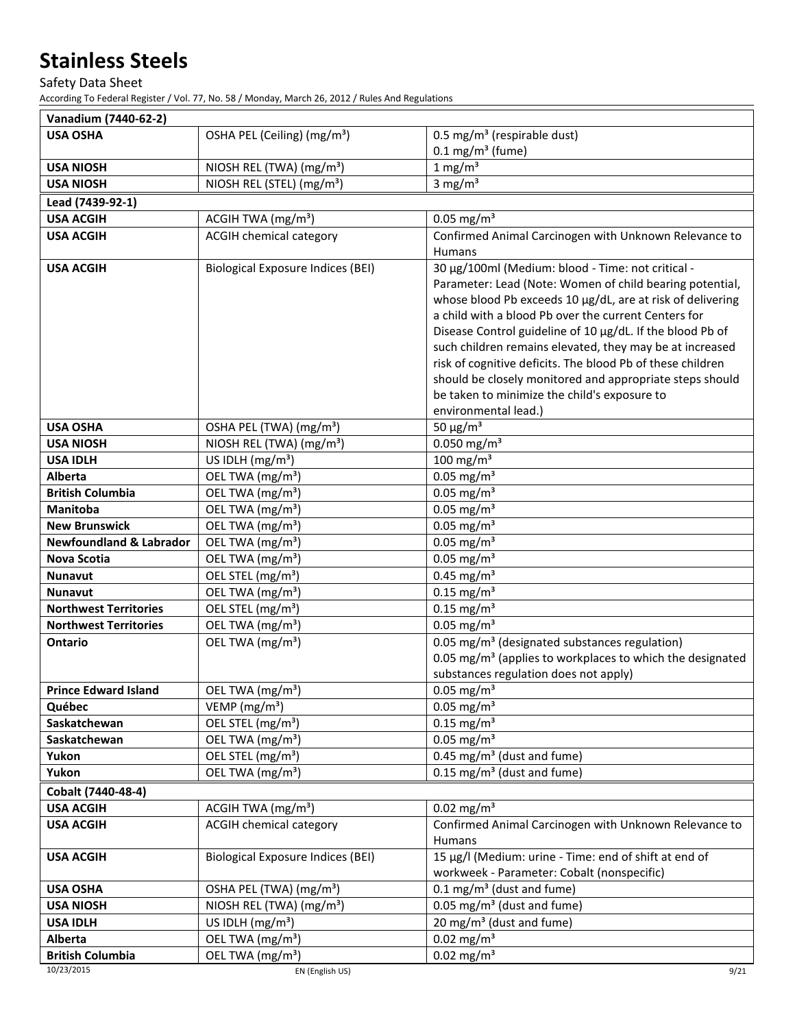### Safety Data Sheet

| Vanadium (7440-62-2)               |                                                                                    |                                                                                                                                                                                                                                                                                                                                                                                                                                                                                                                                                                |
|------------------------------------|------------------------------------------------------------------------------------|----------------------------------------------------------------------------------------------------------------------------------------------------------------------------------------------------------------------------------------------------------------------------------------------------------------------------------------------------------------------------------------------------------------------------------------------------------------------------------------------------------------------------------------------------------------|
| <b>USA OSHA</b>                    | 0.5 mg/m <sup>3</sup> (respirable dust)<br>OSHA PEL (Ceiling) (mg/m <sup>3</sup> ) |                                                                                                                                                                                                                                                                                                                                                                                                                                                                                                                                                                |
|                                    |                                                                                    | $0.1 \text{ mg/m}^3$ (fume)                                                                                                                                                                                                                                                                                                                                                                                                                                                                                                                                    |
| <b>USA NIOSH</b>                   | NIOSH REL (TWA) (mg/m <sup>3</sup> )                                               | $1 \text{ mg/m}^3$                                                                                                                                                                                                                                                                                                                                                                                                                                                                                                                                             |
| <b>USA NIOSH</b>                   | NIOSH REL (STEL) (mg/m <sup>3</sup> )                                              | 3 mg/ $m3$                                                                                                                                                                                                                                                                                                                                                                                                                                                                                                                                                     |
| Lead (7439-92-1)                   |                                                                                    |                                                                                                                                                                                                                                                                                                                                                                                                                                                                                                                                                                |
| <b>USA ACGIH</b>                   | ACGIH TWA (mg/m <sup>3</sup> )                                                     | $0.05$ mg/m <sup>3</sup>                                                                                                                                                                                                                                                                                                                                                                                                                                                                                                                                       |
| <b>USA ACGIH</b>                   | <b>ACGIH chemical category</b>                                                     | Confirmed Animal Carcinogen with Unknown Relevance to<br>Humans                                                                                                                                                                                                                                                                                                                                                                                                                                                                                                |
| <b>USA ACGIH</b>                   | <b>Biological Exposure Indices (BEI)</b>                                           | 30 µg/100ml (Medium: blood - Time: not critical -<br>Parameter: Lead (Note: Women of child bearing potential,<br>whose blood Pb exceeds 10 µg/dL, are at risk of delivering<br>a child with a blood Pb over the current Centers for<br>Disease Control guideline of 10 µg/dL. If the blood Pb of<br>such children remains elevated, they may be at increased<br>risk of cognitive deficits. The blood Pb of these children<br>should be closely monitored and appropriate steps should<br>be taken to minimize the child's exposure to<br>environmental lead.) |
| <b>USA OSHA</b>                    | OSHA PEL (TWA) (mg/m <sup>3</sup> )                                                | 50 $\mu$ g/m <sup>3</sup>                                                                                                                                                                                                                                                                                                                                                                                                                                                                                                                                      |
| <b>USA NIOSH</b>                   | NIOSH REL (TWA) (mg/m <sup>3</sup> )                                               | $0.050$ mg/m <sup>3</sup>                                                                                                                                                                                                                                                                                                                                                                                                                                                                                                                                      |
| <b>USA IDLH</b>                    | US IDLH (mg/m <sup>3</sup> )                                                       | 100 mg/m $3$                                                                                                                                                                                                                                                                                                                                                                                                                                                                                                                                                   |
| Alberta                            | OEL TWA (mg/m <sup>3</sup> )                                                       | $0.05$ mg/m <sup>3</sup>                                                                                                                                                                                                                                                                                                                                                                                                                                                                                                                                       |
| <b>British Columbia</b>            | OEL TWA (mg/m <sup>3</sup> )                                                       | $0.05$ mg/m <sup>3</sup>                                                                                                                                                                                                                                                                                                                                                                                                                                                                                                                                       |
| <b>Manitoba</b>                    | OEL TWA (mg/m <sup>3</sup> )                                                       | $0.05$ mg/m <sup>3</sup>                                                                                                                                                                                                                                                                                                                                                                                                                                                                                                                                       |
| <b>New Brunswick</b>               | OEL TWA (mg/m <sup>3</sup> )                                                       | $0.05$ mg/m <sup>3</sup>                                                                                                                                                                                                                                                                                                                                                                                                                                                                                                                                       |
| <b>Newfoundland &amp; Labrador</b> | OEL TWA (mg/m <sup>3</sup> )                                                       | $0.05$ mg/m <sup>3</sup>                                                                                                                                                                                                                                                                                                                                                                                                                                                                                                                                       |
| <b>Nova Scotia</b>                 | OEL TWA (mg/m <sup>3</sup> )                                                       | $0.05$ mg/m <sup>3</sup>                                                                                                                                                                                                                                                                                                                                                                                                                                                                                                                                       |
| <b>Nunavut</b>                     | OEL STEL (mg/m <sup>3</sup> )                                                      | $0.45$ mg/m <sup>3</sup>                                                                                                                                                                                                                                                                                                                                                                                                                                                                                                                                       |
| <b>Nunavut</b>                     | OEL TWA (mg/m <sup>3</sup> )                                                       | $0.15$ mg/m <sup>3</sup>                                                                                                                                                                                                                                                                                                                                                                                                                                                                                                                                       |
| <b>Northwest Territories</b>       | OEL STEL (mg/m <sup>3</sup> )                                                      | $0.15$ mg/m <sup>3</sup>                                                                                                                                                                                                                                                                                                                                                                                                                                                                                                                                       |
| <b>Northwest Territories</b>       | OEL TWA (mg/m <sup>3</sup> )                                                       | $0.05$ mg/m <sup>3</sup>                                                                                                                                                                                                                                                                                                                                                                                                                                                                                                                                       |
| Ontario                            | OEL TWA (mg/m <sup>3</sup> )                                                       | 0.05 mg/m <sup>3</sup> (designated substances regulation)<br>0.05 mg/m <sup>3</sup> (applies to workplaces to which the designated<br>substances regulation does not apply)                                                                                                                                                                                                                                                                                                                                                                                    |
| <b>Prince Edward Island</b>        | OEL TWA (mg/m <sup>3</sup> )                                                       | $0.05$ mg/m <sup>3</sup>                                                                                                                                                                                                                                                                                                                                                                                                                                                                                                                                       |
| Québec                             | VEMP ( $mg/m3$ )                                                                   | $0.05$ mg/m <sup>3</sup>                                                                                                                                                                                                                                                                                                                                                                                                                                                                                                                                       |
| Saskatchewan                       | OEL STEL (mg/m <sup>3</sup> )                                                      | $0.15$ mg/m <sup>3</sup>                                                                                                                                                                                                                                                                                                                                                                                                                                                                                                                                       |
| Saskatchewan                       | OEL TWA (mg/m <sup>3</sup> )                                                       | $0.05$ mg/m <sup>3</sup>                                                                                                                                                                                                                                                                                                                                                                                                                                                                                                                                       |
| Yukon                              | OEL STEL (mg/m <sup>3</sup> )                                                      | $\overline{0.4}$ 5 mg/m <sup>3</sup> (dust and fume)                                                                                                                                                                                                                                                                                                                                                                                                                                                                                                           |
| Yukon                              | OEL TWA (mg/m <sup>3</sup> )                                                       | $0.15$ mg/m <sup>3</sup> (dust and fume)                                                                                                                                                                                                                                                                                                                                                                                                                                                                                                                       |
| Cobalt (7440-48-4)                 |                                                                                    |                                                                                                                                                                                                                                                                                                                                                                                                                                                                                                                                                                |
| <b>USA ACGIH</b>                   | ACGIH TWA (mg/m <sup>3</sup> )                                                     | $0.02$ mg/m <sup>3</sup>                                                                                                                                                                                                                                                                                                                                                                                                                                                                                                                                       |
| <b>USA ACGIH</b>                   | <b>ACGIH chemical category</b>                                                     | Confirmed Animal Carcinogen with Unknown Relevance to<br><b>Humans</b>                                                                                                                                                                                                                                                                                                                                                                                                                                                                                         |
| <b>USA ACGIH</b>                   | <b>Biological Exposure Indices (BEI)</b>                                           | 15 µg/l (Medium: urine - Time: end of shift at end of<br>workweek - Parameter: Cobalt (nonspecific)                                                                                                                                                                                                                                                                                                                                                                                                                                                            |
| <b>USA OSHA</b>                    | OSHA PEL (TWA) (mg/m <sup>3</sup> )                                                | $0.1 \text{ mg/m}^3$ (dust and fume)                                                                                                                                                                                                                                                                                                                                                                                                                                                                                                                           |
| <b>USA NIOSH</b>                   | NIOSH REL (TWA) (mg/m <sup>3</sup> )                                               | 0.05 mg/m <sup>3</sup> (dust and fume)                                                                                                                                                                                                                                                                                                                                                                                                                                                                                                                         |
| <b>USA IDLH</b>                    | US IDLH $(mg/m3)$                                                                  | $\overline{20}$ mg/m <sup>3</sup> (dust and fume)                                                                                                                                                                                                                                                                                                                                                                                                                                                                                                              |
| Alberta                            | OEL TWA (mg/m <sup>3</sup> )                                                       | $0.02$ mg/m <sup>3</sup>                                                                                                                                                                                                                                                                                                                                                                                                                                                                                                                                       |
| <b>British Columbia</b>            | OEL TWA (mg/m <sup>3</sup> )                                                       | $0.02$ mg/m <sup>3</sup>                                                                                                                                                                                                                                                                                                                                                                                                                                                                                                                                       |
| 10/23/2015                         | EN (English US)                                                                    | 9/21                                                                                                                                                                                                                                                                                                                                                                                                                                                                                                                                                           |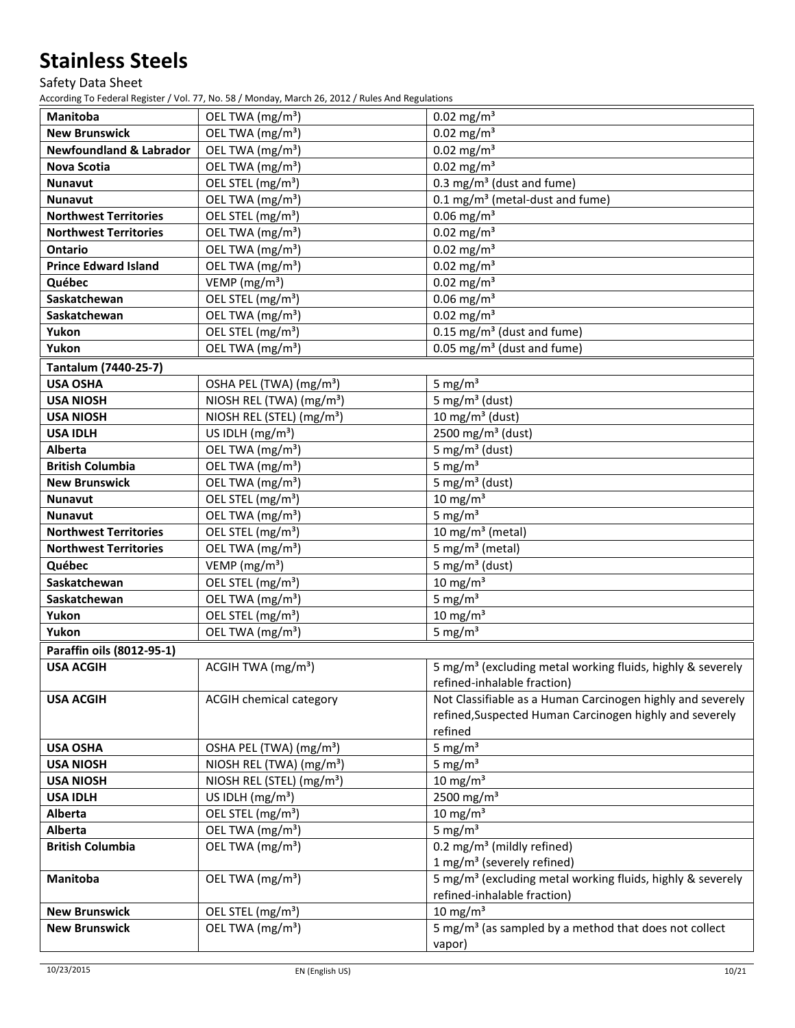# Safety Data Sheet

| <b>Manitoba</b>                    | OEL TWA (mg/m <sup>3</sup> )          | $0.02$ mg/m <sup>3</sup>                                               |
|------------------------------------|---------------------------------------|------------------------------------------------------------------------|
| <b>New Brunswick</b>               | OEL TWA (mg/m <sup>3</sup> )          | $0.02$ mg/m <sup>3</sup>                                               |
| <b>Newfoundland &amp; Labrador</b> | OEL TWA (mg/m <sup>3</sup> )          | $0.02$ mg/m <sup>3</sup>                                               |
| <b>Nova Scotia</b>                 | OEL TWA (mg/m <sup>3</sup> )          | $0.02$ mg/m <sup>3</sup>                                               |
| Nunavut                            | OEL STEL (mg/m <sup>3</sup> )         | 0.3 mg/m <sup>3</sup> (dust and fume)                                  |
| Nunavut                            | OEL TWA (mg/m <sup>3</sup> )          | 0.1 mg/m <sup>3</sup> (metal-dust and fume)                            |
| <b>Northwest Territories</b>       | OEL STEL (mg/m <sup>3</sup> )         | $0.06$ mg/m <sup>3</sup>                                               |
| <b>Northwest Territories</b>       | OEL TWA (mg/m <sup>3</sup> )          | $0.02$ mg/m <sup>3</sup>                                               |
| <b>Ontario</b>                     | OEL TWA (mg/m <sup>3</sup> )          | $0.02$ mg/m <sup>3</sup>                                               |
| <b>Prince Edward Island</b>        | OEL TWA (mg/m <sup>3</sup> )          | $0.02$ mg/m <sup>3</sup>                                               |
| Québec                             | VEMP (mg/m <sup>3</sup> )             | $0.02$ mg/m <sup>3</sup>                                               |
| Saskatchewan                       | OEL STEL (mg/m <sup>3</sup> )         | $0.06$ mg/m <sup>3</sup>                                               |
| Saskatchewan                       | OEL TWA (mg/m <sup>3</sup> )          | $0.02$ mg/m <sup>3</sup>                                               |
| Yukon                              | OEL STEL (mg/m <sup>3</sup> )         | $0.15$ mg/m <sup>3</sup> (dust and fume)                               |
| Yukon                              | OEL TWA (mg/m <sup>3</sup> )          | 0.05 mg/m <sup>3</sup> (dust and fume)                                 |
| Tantalum (7440-25-7)               |                                       |                                                                        |
| <b>USA OSHA</b>                    | OSHA PEL (TWA) (mg/m <sup>3</sup> )   | 5 mg/ $m3$                                                             |
| <b>USA NIOSH</b>                   | NIOSH REL (TWA) (mg/m <sup>3</sup> )  | 5 mg/m <sup>3</sup> (dust)                                             |
| <b>USA NIOSH</b>                   | NIOSH REL (STEL) (mg/m <sup>3</sup> ) | 10 mg/m <sup>3</sup> (dust)                                            |
| <b>USA IDLH</b>                    | US IDLH (mg/m <sup>3</sup> )          | 2500 mg/m <sup>3</sup> (dust)                                          |
| Alberta                            | OEL TWA (mg/m <sup>3</sup> )          | 5 mg/m <sup>3</sup> (dust)                                             |
| <b>British Columbia</b>            | OEL TWA (mg/m <sup>3</sup> )          | 5 mg/ $m3$                                                             |
| <b>New Brunswick</b>               | OEL TWA (mg/m <sup>3</sup> )          | 5 mg/m <sup>3</sup> (dust)                                             |
| <b>Nunavut</b>                     | OEL STEL (mg/m <sup>3</sup> )         | $10 \text{ mg/m}^3$                                                    |
| <b>Nunavut</b>                     | OEL TWA (mg/m <sup>3</sup> )          | 5 mg/ $m3$                                                             |
| <b>Northwest Territories</b>       | OEL STEL (mg/m <sup>3</sup> )         | 10 mg/m <sup>3</sup> (metal)                                           |
| <b>Northwest Territories</b>       | OEL TWA (mg/m <sup>3</sup> )          | 5 mg/m <sup>3</sup> (metal)                                            |
| Québec                             | VEMP (mg/m <sup>3</sup> )             | 5 mg/m <sup>3</sup> (dust)                                             |
| Saskatchewan                       | OEL STEL (mg/m <sup>3</sup> )         | $10 \text{ mg/m}^3$                                                    |
| Saskatchewan                       | OEL TWA (mg/m <sup>3</sup> )          | 5 mg/ $m3$                                                             |
| Yukon                              | OEL STEL (mg/m <sup>3</sup> )         | $10 \text{ mg/m}^3$                                                    |
| Yukon                              | OEL TWA (mg/m <sup>3</sup> )          | 5 mg/ $m3$                                                             |
| Paraffin oils (8012-95-1)          |                                       |                                                                        |
| <b>USA ACGIH</b>                   | ACGIH TWA $(mg/m3)$                   | 5 mg/m <sup>3</sup> (excluding metal working fluids, highly & severely |
|                                    |                                       | refined-inhalable fraction)                                            |
| <b>USA ACGIH</b>                   | <b>ACGIH chemical category</b>        | Not Classifiable as a Human Carcinogen highly and severely             |
|                                    |                                       | refined, Suspected Human Carcinogen highly and severely                |
|                                    |                                       | refined                                                                |
| <b>USA OSHA</b>                    | OSHA PEL (TWA) (mg/m <sup>3</sup> )   | 5 mg/ $m3$                                                             |
| <b>USA NIOSH</b>                   | NIOSH REL (TWA) (mg/m <sup>3</sup> )  | 5 mg/ $m3$                                                             |
| <b>USA NIOSH</b>                   | NIOSH REL (STEL) (mg/m <sup>3</sup> ) | $10 \text{ mg/m}^3$                                                    |
| <b>USA IDLH</b>                    | US IDLH $(mg/m3)$                     | 2500 mg/m <sup>3</sup>                                                 |
| Alberta                            | OEL STEL (mg/m <sup>3</sup> )         | $10 \text{ mg/m}^3$                                                    |
| Alberta                            | OEL TWA (mg/m <sup>3</sup> )          | 5 mg/ $m3$                                                             |
| <b>British Columbia</b>            | OEL TWA (mg/m <sup>3</sup> )          | 0.2 mg/m <sup>3</sup> (mildly refined)                                 |
|                                    |                                       | 1 mg/m <sup>3</sup> (severely refined)                                 |
| Manitoba                           | OEL TWA (mg/m <sup>3</sup> )          | 5 mg/m <sup>3</sup> (excluding metal working fluids, highly & severely |
|                                    |                                       | refined-inhalable fraction)                                            |
| <b>New Brunswick</b>               | OEL STEL (mg/m <sup>3</sup> )         | $10 \text{ mg/m}^3$                                                    |
| <b>New Brunswick</b>               | OEL TWA (mg/m <sup>3</sup> )          | 5 mg/m <sup>3</sup> (as sampled by a method that does not collect      |
|                                    |                                       | vapor)                                                                 |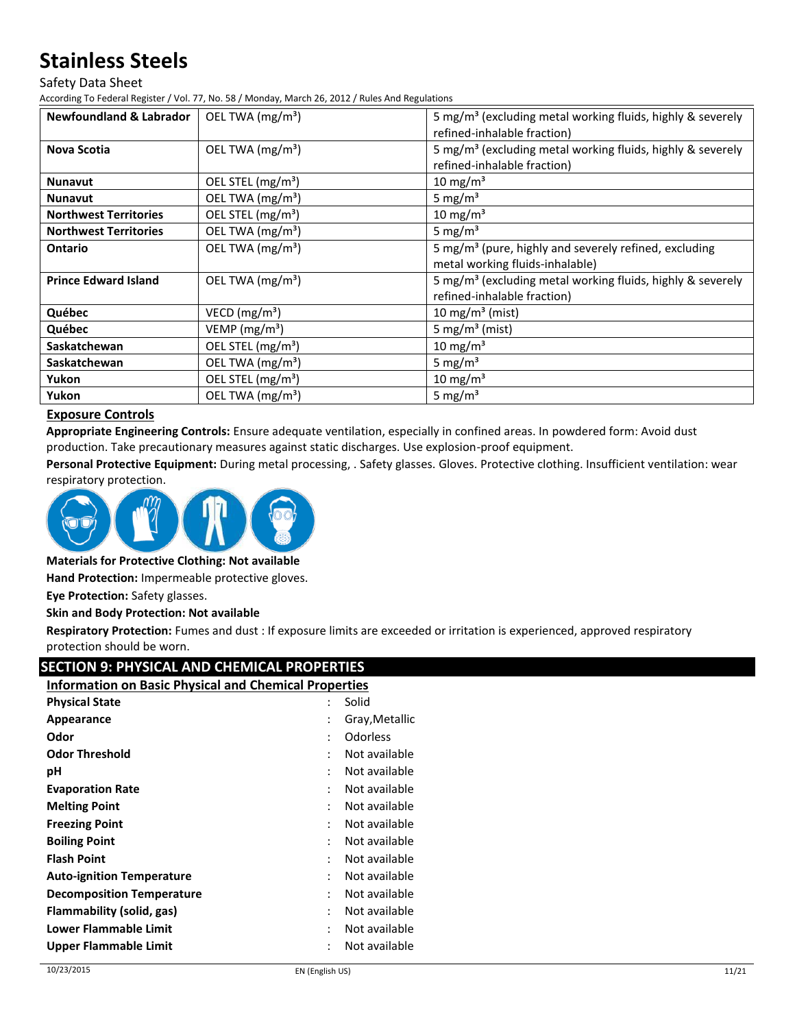Safety Data Sheet

According To Federal Register / Vol. 77, No. 58 / Monday, March 26, 2012 / Rules And Regulations

| <b>Newfoundland &amp; Labrador</b> | OEL TWA (mg/m <sup>3</sup> )  | 5 mg/m <sup>3</sup> (excluding metal working fluids, highly & severely |
|------------------------------------|-------------------------------|------------------------------------------------------------------------|
|                                    |                               | refined-inhalable fraction)                                            |
| <b>Nova Scotia</b>                 | OEL TWA $(mg/m3)$             | 5 mg/m <sup>3</sup> (excluding metal working fluids, highly & severely |
|                                    |                               | refined-inhalable fraction)                                            |
| <b>Nunavut</b>                     | OEL STEL (mg/m <sup>3</sup> ) | $10 \text{ mg/m}^3$                                                    |
| <b>Nunavut</b>                     | OEL TWA (mg/m <sup>3</sup> )  | 5 mg/ $m3$                                                             |
| <b>Northwest Territories</b>       | OEL STEL (mg/m <sup>3</sup> ) | $10 \text{ mg/m}^3$                                                    |
| <b>Northwest Territories</b>       | OEL TWA (mg/m <sup>3</sup> )  | 5 mg/ $m3$                                                             |
| <b>Ontario</b>                     | OEL TWA $(mg/m3)$             | 5 mg/m <sup>3</sup> (pure, highly and severely refined, excluding      |
|                                    |                               | metal working fluids-inhalable)                                        |
| <b>Prince Edward Island</b>        | OEL TWA $(mg/m3)$             | 5 mg/m <sup>3</sup> (excluding metal working fluids, highly & severely |
|                                    |                               | refined-inhalable fraction)                                            |
| Québec                             | VECD ( $mg/m3$ )              | 10 mg/m <sup>3</sup> (mist)                                            |
| Québec                             | VEMP ( $mg/m3$ )              | 5 mg/m <sup>3</sup> (mist)                                             |
| Saskatchewan                       | OEL STEL (mg/m <sup>3</sup> ) | $10 \text{ mg/m}^3$                                                    |
| Saskatchewan                       | OEL TWA (mg/m <sup>3</sup> )  | 5 mg/ $m3$                                                             |
| Yukon                              | OEL STEL (mg/m <sup>3</sup> ) | $10 \text{ mg/m}^3$                                                    |
| Yukon                              | OEL TWA $(mg/m3)$             | 5 mg/ $m3$                                                             |

### **Exposure Controls**

**Appropriate Engineering Controls:** Ensure adequate ventilation, especially in confined areas. In powdered form: Avoid dust production. Take precautionary measures against static discharges. Use explosion-proof equipment.

**Personal Protective Equipment:** During metal processing, . Safety glasses. Gloves. Protective clothing. Insufficient ventilation: wear respiratory protection.



### **Materials for Protective Clothing: Not available**

**Hand Protection:** Impermeable protective gloves.

**Eye Protection:** Safety glasses.

#### **Skin and Body Protection: Not available**

**Respiratory Protection:** Fumes and dust : If exposure limits are exceeded or irritation is experienced, approved respiratory protection should be worn.

### **SECTION 9: PHYSICAL AND CHEMICAL PROPERTIES**

#### **Information on Basic Physical and Chemical Properties**

| $\ddot{\cdot}$ | Solid          |
|----------------|----------------|
| $\ddot{\cdot}$ | Gray, Metallic |
| ٠              | Odorless       |
| ٠              | Not available  |
| ٠              | Not available  |
| $\ddot{\cdot}$ | Not available  |
| ٠              | Not available  |
| ٠              | Not available  |
| ٠              | Not available  |
| ٠              | Not available  |
| :              | Not available  |
| $\ddot{\cdot}$ | Not available  |
| $\ddot{\cdot}$ | Not available  |
| ٠              | Not available  |
| $\ddot{\cdot}$ | Not available  |
|                |                |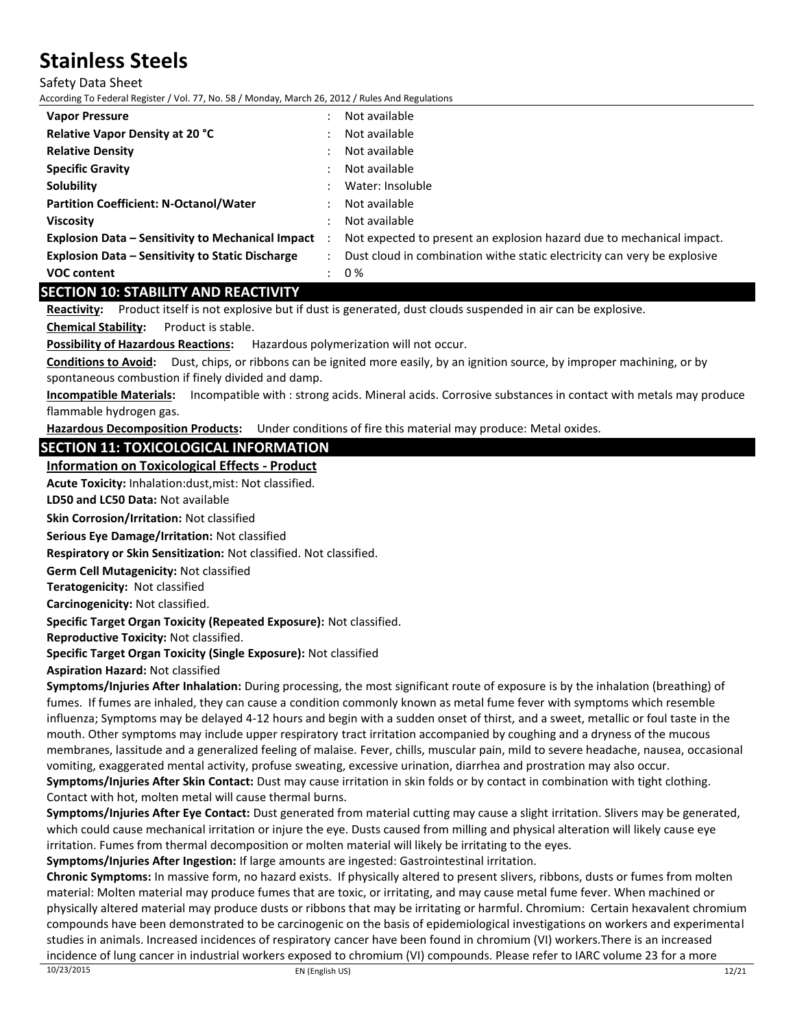Safety Data Sheet

According To Federal Register / Vol. 77, No. 58 / Monday, March 26, 2012 / Rules And Regulations

| <b>Vapor Pressure</b>                                      | Not available                                                            |
|------------------------------------------------------------|--------------------------------------------------------------------------|
| Relative Vapor Density at 20 °C                            | Not available                                                            |
| <b>Relative Density</b>                                    | Not available                                                            |
| <b>Specific Gravity</b>                                    | Not available                                                            |
| <b>Solubility</b>                                          | Water: Insoluble                                                         |
| <b>Partition Coefficient: N-Octanol/Water</b>              | Not available                                                            |
| Viscosity                                                  | Not available                                                            |
| <b>Explosion Data - Sensitivity to Mechanical Impact</b> : | Not expected to present an explosion hazard due to mechanical impact.    |
| <b>Explosion Data - Sensitivity to Static Discharge</b>    | Dust cloud in combination withe static electricity can very be explosive |
| <b>VOC content</b>                                         | 0 %                                                                      |

## **SECTION 10: STABILITY AND REACTIVITY**

**Reactivity:** Product itself is not explosive but if dust is generated, dust clouds suspended in air can be explosive. **Chemical Stability:** Product is stable.

**Possibility of Hazardous Reactions:** Hazardous polymerization will not occur.

**Conditions to Avoid:** Dust, chips, or ribbons can be ignited more easily, by an ignition source, by improper machining, or by spontaneous combustion if finely divided and damp.

**Incompatible Materials:** Incompatible with : strong acids. Mineral acids. Corrosive substances in contact with metals may produce flammable hydrogen gas.

**Hazardous Decomposition Products:** Under conditions of fire this material may produce: Metal oxides.

## **SECTION 11: TOXICOLOGICAL INFORMATION**

**Information on Toxicological Effects - Product**

**Acute Toxicity:** Inhalation:dust,mist: Not classified.

**LD50 and LC50 Data:** Not available

**Skin Corrosion/Irritation:** Not classified

**Serious Eye Damage/Irritation:** Not classified

**Respiratory or Skin Sensitization:** Not classified. Not classified.

**Germ Cell Mutagenicity:** Not classified

**Teratogenicity:** Not classified

**Carcinogenicity:** Not classified.

**Specific Target Organ Toxicity (Repeated Exposure):** Not classified.

**Reproductive Toxicity:** Not classified.

**Specific Target Organ Toxicity (Single Exposure):** Not classified

**Aspiration Hazard:** Not classified

**Symptoms/Injuries After Inhalation:** During processing, the most significant route of exposure is by the inhalation (breathing) of fumes. If fumes are inhaled, they can cause a condition commonly known as metal fume fever with symptoms which resemble influenza; Symptoms may be delayed 4-12 hours and begin with a sudden onset of thirst, and a sweet, metallic or foul taste in the mouth. Other symptoms may include upper respiratory tract irritation accompanied by coughing and a dryness of the mucous membranes, lassitude and a generalized feeling of malaise. Fever, chills, muscular pain, mild to severe headache, nausea, occasional vomiting, exaggerated mental activity, profuse sweating, excessive urination, diarrhea and prostration may also occur. **Symptoms/Injuries After Skin Contact:** Dust may cause irritation in skin folds or by contact in combination with tight clothing.

Contact with hot, molten metal will cause thermal burns.

**Symptoms/Injuries After Eye Contact:** Dust generated from material cutting may cause a slight irritation. Slivers may be generated, which could cause mechanical irritation or injure the eye. Dusts caused from milling and physical alteration will likely cause eye irritation. Fumes from thermal decomposition or molten material will likely be irritating to the eyes.

**Symptoms/Injuries After Ingestion:** If large amounts are ingested: Gastrointestinal irritation.

**Chronic Symptoms:** In massive form, no hazard exists. If physically altered to present slivers, ribbons, dusts or fumes from molten material: Molten material may produce fumes that are toxic, or irritating, and may cause metal fume fever. When machined or physically altered material may produce dusts or ribbons that may be irritating or harmful. Chromium: Certain hexavalent chromium compounds have been demonstrated to be carcinogenic on the basis of epidemiological investigations on workers and experimental studies in animals. Increased incidences of respiratory cancer have been found in chromium (VI) workers.There is an increased incidence of lung cancer in industrial workers exposed to chromium (VI) compounds. Please refer to IARC volume 23 for a more  $10/23/2015$ <br>EN (English US)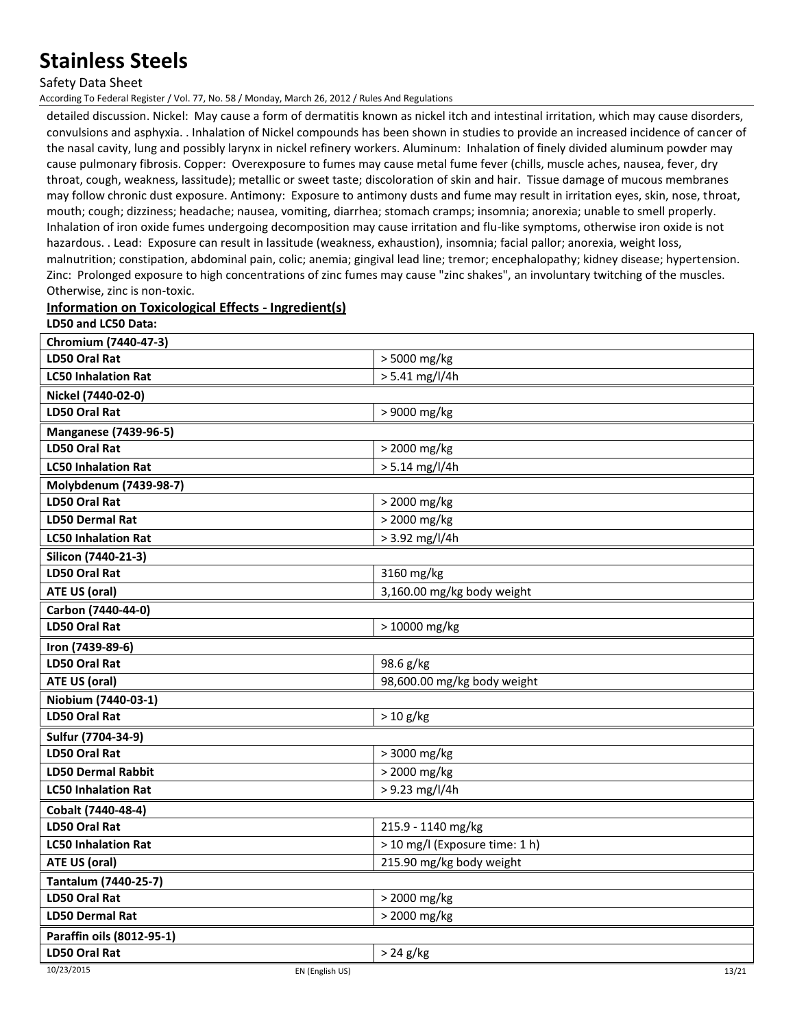Safety Data Sheet

According To Federal Register / Vol. 77, No. 58 / Monday, March 26, 2012 / Rules And Regulations

detailed discussion. Nickel: May cause a form of dermatitis known as nickel itch and intestinal irritation, which may cause disorders, convulsions and asphyxia. . Inhalation of Nickel compounds has been shown in studies to provide an increased incidence of cancer of the nasal cavity, lung and possibly larynx in nickel refinery workers. Aluminum: Inhalation of finely divided aluminum powder may cause pulmonary fibrosis. Copper: Overexposure to fumes may cause metal fume fever (chills, muscle aches, nausea, fever, dry throat, cough, weakness, lassitude); metallic or sweet taste; discoloration of skin and hair. Tissue damage of mucous membranes may follow chronic dust exposure. Antimony: Exposure to antimony dusts and fume may result in irritation eyes, skin, nose, throat, mouth; cough; dizziness; headache; nausea, vomiting, diarrhea; stomach cramps; insomnia; anorexia; unable to smell properly. Inhalation of iron oxide fumes undergoing decomposition may cause irritation and flu-like symptoms, otherwise iron oxide is not hazardous. . Lead: Exposure can result in lassitude (weakness, exhaustion), insomnia; facial pallor; anorexia, weight loss, malnutrition; constipation, abdominal pain, colic; anemia; gingival lead line; tremor; encephalopathy; kidney disease; hypertension. Zinc: Prolonged exposure to high concentrations of zinc fumes may cause "zinc shakes", an involuntary twitching of the muscles. Otherwise, zinc is non-toxic.

## **Information on Toxicological Effects - Ingredient(s)**

**LD50 and LC50 Data:**

| Chromium (7440-47-3)          |                                |  |
|-------------------------------|--------------------------------|--|
| <b>LD50 Oral Rat</b>          | > 5000 mg/kg                   |  |
| <b>LC50 Inhalation Rat</b>    | $> 5.41$ mg/l/4h               |  |
| Nickel (7440-02-0)            |                                |  |
| <b>LD50 Oral Rat</b>          | > 9000 mg/kg                   |  |
| <b>Manganese (7439-96-5)</b>  |                                |  |
| LD50 Oral Rat                 | > 2000 mg/kg                   |  |
| <b>LC50 Inhalation Rat</b>    | $> 5.14$ mg/l/4h               |  |
| Molybdenum (7439-98-7)        |                                |  |
| LD50 Oral Rat                 | > 2000 mg/kg                   |  |
| <b>LD50 Dermal Rat</b>        | > 2000 mg/kg                   |  |
| <b>LC50 Inhalation Rat</b>    | > 3.92 mg/l/4h                 |  |
| Silicon (7440-21-3)           |                                |  |
| <b>LD50 Oral Rat</b>          | 3160 mg/kg                     |  |
| ATE US (oral)                 | 3,160.00 mg/kg body weight     |  |
| Carbon (7440-44-0)            |                                |  |
| <b>LD50 Oral Rat</b>          | > 10000 mg/kg                  |  |
| Iron (7439-89-6)              |                                |  |
| <b>LD50 Oral Rat</b>          | 98.6 g/kg                      |  |
| <b>ATE US (oral)</b>          | 98,600.00 mg/kg body weight    |  |
| Niobium (7440-03-1)           |                                |  |
| <b>LD50 Oral Rat</b>          | $> 10$ g/kg                    |  |
| Sulfur (7704-34-9)            |                                |  |
| LD50 Oral Rat                 | > 3000 mg/kg                   |  |
| <b>LD50 Dermal Rabbit</b>     | > 2000 mg/kg                   |  |
| <b>LC50 Inhalation Rat</b>    | > 9.23 mg/l/4h                 |  |
| Cobalt (7440-48-4)            |                                |  |
| <b>LD50 Oral Rat</b>          | 215.9 - 1140 mg/kg             |  |
| <b>LC50 Inhalation Rat</b>    | > 10 mg/l (Exposure time: 1 h) |  |
| ATE US (oral)                 | 215.90 mg/kg body weight       |  |
| Tantalum (7440-25-7)          |                                |  |
| <b>LD50 Oral Rat</b>          | > 2000 mg/kg                   |  |
| <b>LD50 Dermal Rat</b>        | > 2000 mg/kg                   |  |
| Paraffin oils (8012-95-1)     |                                |  |
| LD50 Oral Rat                 | $> 24$ g/kg                    |  |
| 10/23/2015<br>EN (English US) | 13/21                          |  |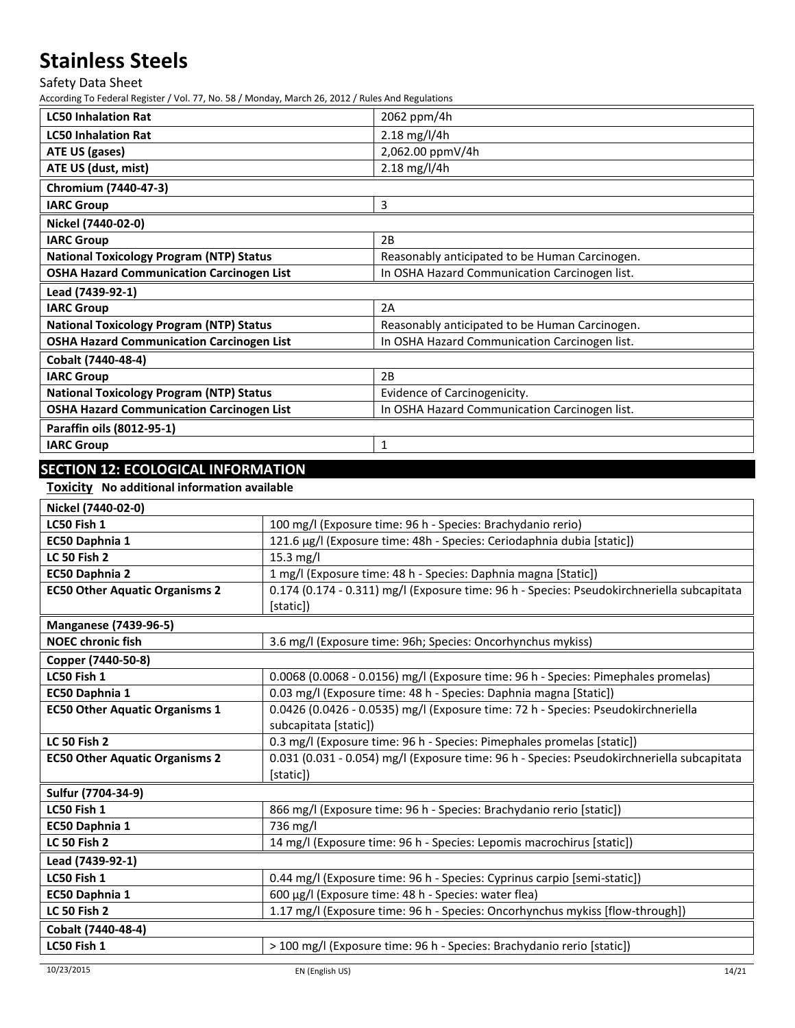Safety Data Sheet

According To Federal Register / Vol. 77, No. 58 / Monday, March 26, 2012 / Rules And Regulations

| <b>LC50 Inhalation Rat</b>                       | 2062 ppm/4h                                    |
|--------------------------------------------------|------------------------------------------------|
| <b>LC50 Inhalation Rat</b>                       | $2.18$ mg/l/4h                                 |
| ATE US (gases)                                   | 2,062.00 ppmV/4h                               |
| ATE US (dust, mist)                              | 2.18 mg/l/4h                                   |
| Chromium (7440-47-3)                             |                                                |
| <b>IARC Group</b>                                | 3                                              |
| Nickel (7440-02-0)                               |                                                |
| <b>IARC Group</b>                                | 2B                                             |
| <b>National Toxicology Program (NTP) Status</b>  | Reasonably anticipated to be Human Carcinogen. |
| <b>OSHA Hazard Communication Carcinogen List</b> | In OSHA Hazard Communication Carcinogen list.  |
| Lead (7439-92-1)                                 |                                                |
| <b>IARC Group</b>                                | 2A                                             |
| <b>National Toxicology Program (NTP) Status</b>  | Reasonably anticipated to be Human Carcinogen. |
| <b>OSHA Hazard Communication Carcinogen List</b> | In OSHA Hazard Communication Carcinogen list.  |
| Cobalt (7440-48-4)                               |                                                |
| <b>IARC Group</b>                                | 2B                                             |
| <b>National Toxicology Program (NTP) Status</b>  | Evidence of Carcinogenicity.                   |
| <b>OSHA Hazard Communication Carcinogen List</b> | In OSHA Hazard Communication Carcinogen list.  |
| Paraffin oils (8012-95-1)                        |                                                |
| <b>IARC Group</b>                                | $\mathbf{1}$                                   |
|                                                  |                                                |

# **SECTION 12: ECOLOGICAL INFORMATION**

**Toxicity No additional information available**

| Nickel (7440-02-0)                    |                                                                                            |
|---------------------------------------|--------------------------------------------------------------------------------------------|
| LC50 Fish 1                           | 100 mg/l (Exposure time: 96 h - Species: Brachydanio rerio)                                |
| EC50 Daphnia 1                        | 121.6 μg/l (Exposure time: 48h - Species: Ceriodaphnia dubia [static])                     |
| <b>LC 50 Fish 2</b>                   | $15.3$ mg/l                                                                                |
| EC50 Daphnia 2                        | 1 mg/l (Exposure time: 48 h - Species: Daphnia magna [Static])                             |
| <b>EC50 Other Aquatic Organisms 2</b> | 0.174 (0.174 - 0.311) mg/l (Exposure time: 96 h - Species: Pseudokirchneriella subcapitata |
|                                       | [static])                                                                                  |
| <b>Manganese (7439-96-5)</b>          |                                                                                            |
| <b>NOEC chronic fish</b>              | 3.6 mg/l (Exposure time: 96h; Species: Oncorhynchus mykiss)                                |
| Copper (7440-50-8)                    |                                                                                            |
| LC50 Fish 1                           | 0.0068 (0.0068 - 0.0156) mg/l (Exposure time: 96 h - Species: Pimephales promelas)         |
| EC50 Daphnia 1                        | 0.03 mg/l (Exposure time: 48 h - Species: Daphnia magna [Static])                          |
| <b>EC50 Other Aquatic Organisms 1</b> | 0.0426 (0.0426 - 0.0535) mg/l (Exposure time: 72 h - Species: Pseudokirchneriella          |
|                                       | subcapitata [static])                                                                      |
| <b>LC 50 Fish 2</b>                   | 0.3 mg/l (Exposure time: 96 h - Species: Pimephales promelas [static])                     |
| <b>EC50 Other Aquatic Organisms 2</b> | 0.031 (0.031 - 0.054) mg/l (Exposure time: 96 h - Species: Pseudokirchneriella subcapitata |
|                                       | [static])                                                                                  |
| Sulfur (7704-34-9)                    |                                                                                            |
| LC50 Fish 1                           | 866 mg/l (Exposure time: 96 h - Species: Brachydanio rerio [static])                       |
| EC50 Daphnia 1                        | 736 mg/l                                                                                   |
| <b>LC 50 Fish 2</b>                   | 14 mg/l (Exposure time: 96 h - Species: Lepomis macrochirus [static])                      |
| Lead (7439-92-1)                      |                                                                                            |
| LC50 Fish 1                           | 0.44 mg/l (Exposure time: 96 h - Species: Cyprinus carpio [semi-static])                   |
| EC50 Daphnia 1                        | 600 µg/l (Exposure time: 48 h - Species: water flea)                                       |
| <b>LC 50 Fish 2</b>                   | 1.17 mg/l (Exposure time: 96 h - Species: Oncorhynchus mykiss [flow-through])              |
| Cobalt (7440-48-4)                    |                                                                                            |
| LC50 Fish 1                           | > 100 mg/l (Exposure time: 96 h - Species: Brachydanio rerio [static])                     |
|                                       |                                                                                            |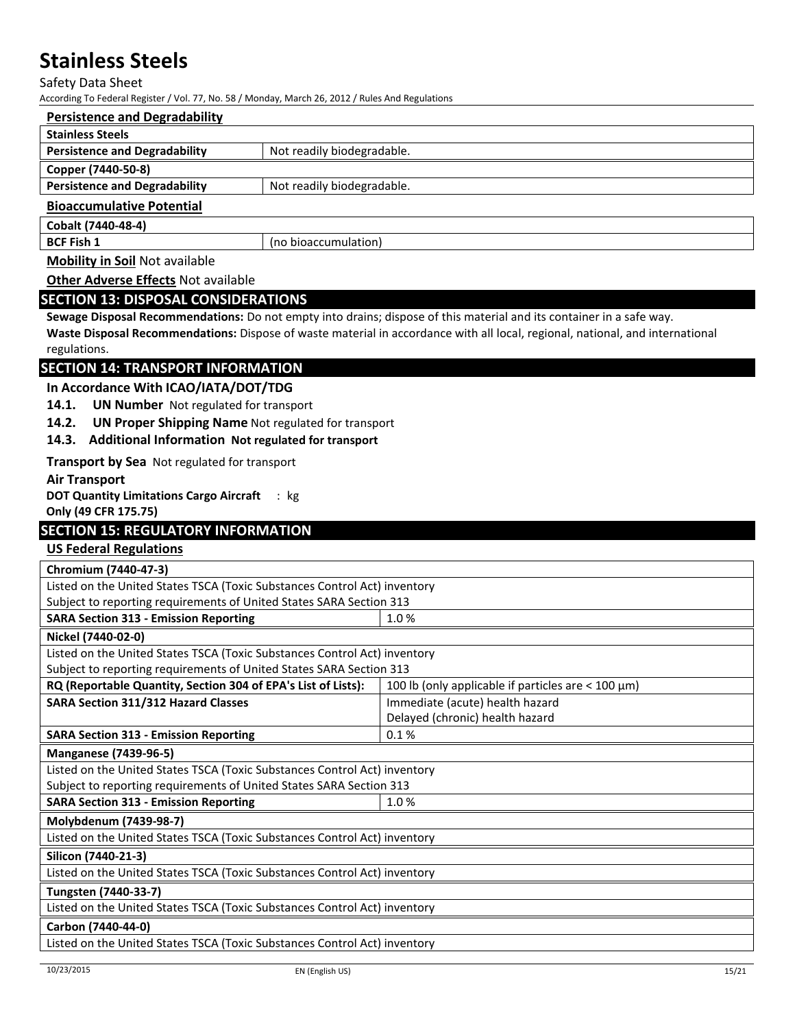#### Safety Data Sheet

According To Federal Register / Vol. 77, No. 58 / Monday, March 26, 2012 / Rules And Regulations

| <b>Persistence and Degradability</b>  |                            |
|---------------------------------------|----------------------------|
| <b>Stainless Steels</b>               |                            |
| <b>Persistence and Degradability</b>  | Not readily biodegradable. |
| Copper (7440-50-8)                    |                            |
| <b>Persistence and Degradability</b>  | Not readily biodegradable. |
| <b>Bioaccumulative Potential</b>      |                            |
| Cobalt (7440-48-4)                    |                            |
| <b>BCF Fish 1</b>                     | (no bioaccumulation)       |
| <b>Mobility in Soil Not available</b> |                            |

**Other Adverse Effects** Not available

### **SECTION 13: DISPOSAL CONSIDERATIONS**

**Sewage Disposal Recommendations:** Do not empty into drains; dispose of this material and its container in a safe way. **Waste Disposal Recommendations:** Dispose of waste material in accordance with all local, regional, national, and international regulations.

## **SECTION 14: TRANSPORT INFORMATION**

**In Accordance With ICAO/IATA/DOT/TDG**

- **14.1. UN Number** Not regulated for transport
- **14.2. UN Proper Shipping Name** Not regulated for transport

#### **14.3. Additional Information Not regulated for transport**

**Transport by Sea** Not regulated for transport

**Air Transport** 

**DOT Quantity Limitations Cargo Aircraft**  : kg

**Only (49 CFR 175.75)**

### **SECTION 15: REGULATORY INFORMATION**

## **US Federal Regulations**

| Chromium (7440-47-3)                                                      |                                                           |  |
|---------------------------------------------------------------------------|-----------------------------------------------------------|--|
| Listed on the United States TSCA (Toxic Substances Control Act) inventory |                                                           |  |
| Subject to reporting requirements of United States SARA Section 313       |                                                           |  |
| <b>SARA Section 313 - Emission Reporting</b><br>1.0%                      |                                                           |  |
| Nickel (7440-02-0)                                                        |                                                           |  |
| Listed on the United States TSCA (Toxic Substances Control Act) inventory |                                                           |  |
| Subject to reporting requirements of United States SARA Section 313       |                                                           |  |
| RQ (Reportable Quantity, Section 304 of EPA's List of Lists):             | 100 lb (only applicable if particles are $<$ 100 $\mu$ m) |  |
| <b>SARA Section 311/312 Hazard Classes</b>                                | Immediate (acute) health hazard                           |  |
|                                                                           | Delayed (chronic) health hazard                           |  |
| 0.1%<br><b>SARA Section 313 - Emission Reporting</b>                      |                                                           |  |
| <b>Manganese (7439-96-5)</b>                                              |                                                           |  |
| Listed on the United States TSCA (Toxic Substances Control Act) inventory |                                                           |  |
| Subject to reporting requirements of United States SARA Section 313       |                                                           |  |
| <b>SARA Section 313 - Emission Reporting</b>                              | 1.0%                                                      |  |
| Molybdenum (7439-98-7)                                                    |                                                           |  |
| Listed on the United States TSCA (Toxic Substances Control Act) inventory |                                                           |  |
| Silicon (7440-21-3)                                                       |                                                           |  |
| Listed on the United States TSCA (Toxic Substances Control Act) inventory |                                                           |  |
| Tungsten (7440-33-7)                                                      |                                                           |  |
| Listed on the United States TSCA (Toxic Substances Control Act) inventory |                                                           |  |
| Carbon (7440-44-0)                                                        |                                                           |  |
| Listed on the United States TSCA (Toxic Substances Control Act) inventory |                                                           |  |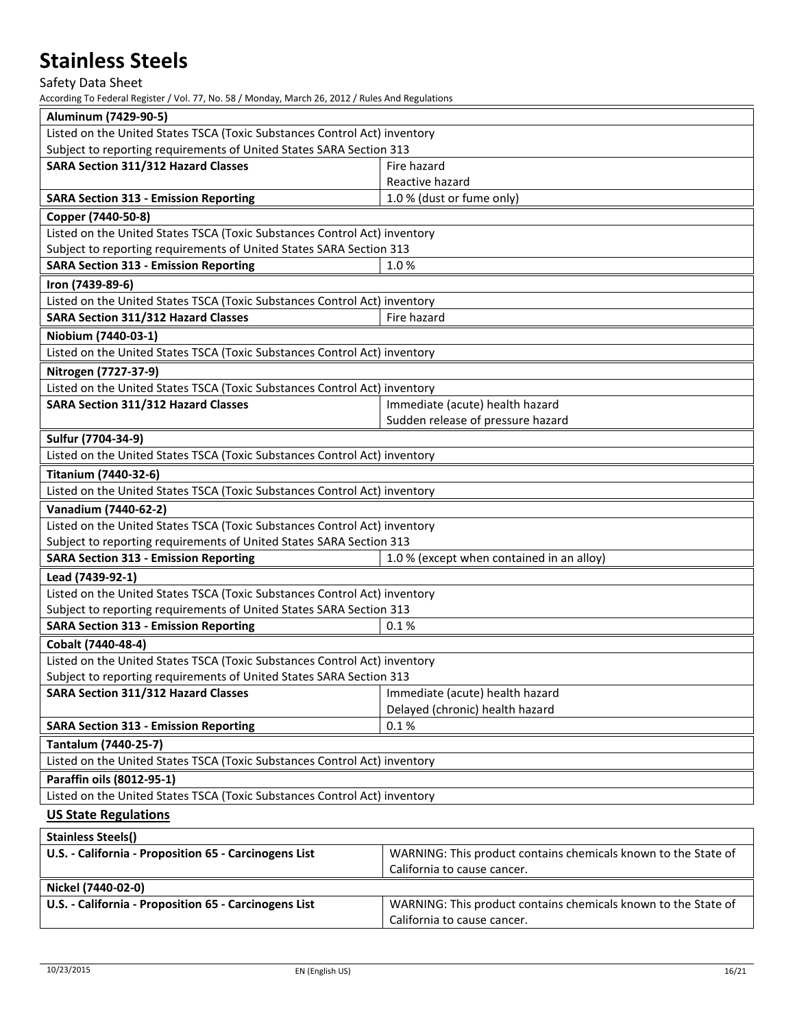# Safety Data Sheet

| Aluminum (7429-90-5)                                                                      |                                                                |  |
|-------------------------------------------------------------------------------------------|----------------------------------------------------------------|--|
| Listed on the United States TSCA (Toxic Substances Control Act) inventory                 |                                                                |  |
| Subject to reporting requirements of United States SARA Section 313                       |                                                                |  |
| SARA Section 311/312 Hazard Classes                                                       | Fire hazard                                                    |  |
|                                                                                           | Reactive hazard                                                |  |
| <b>SARA Section 313 - Emission Reporting</b>                                              | 1.0 % (dust or fume only)                                      |  |
| Copper (7440-50-8)                                                                        |                                                                |  |
| Listed on the United States TSCA (Toxic Substances Control Act) inventory                 |                                                                |  |
| Subject to reporting requirements of United States SARA Section 313                       |                                                                |  |
| <b>SARA Section 313 - Emission Reporting</b><br>1.0%                                      |                                                                |  |
| Iron (7439-89-6)                                                                          |                                                                |  |
| Listed on the United States TSCA (Toxic Substances Control Act) inventory                 |                                                                |  |
| <b>SARA Section 311/312 Hazard Classes</b>                                                | Fire hazard                                                    |  |
| Niobium (7440-03-1)                                                                       |                                                                |  |
| Listed on the United States TSCA (Toxic Substances Control Act) inventory                 |                                                                |  |
| Nitrogen (7727-37-9)                                                                      |                                                                |  |
| Listed on the United States TSCA (Toxic Substances Control Act) inventory                 |                                                                |  |
| <b>SARA Section 311/312 Hazard Classes</b>                                                | Immediate (acute) health hazard                                |  |
|                                                                                           | Sudden release of pressure hazard                              |  |
| Sulfur (7704-34-9)                                                                        |                                                                |  |
| Listed on the United States TSCA (Toxic Substances Control Act) inventory                 |                                                                |  |
| <b>Titanium (7440-32-6)</b>                                                               |                                                                |  |
| Listed on the United States TSCA (Toxic Substances Control Act) inventory                 |                                                                |  |
| Vanadium (7440-62-2)                                                                      |                                                                |  |
| Listed on the United States TSCA (Toxic Substances Control Act) inventory                 |                                                                |  |
| Subject to reporting requirements of United States SARA Section 313                       |                                                                |  |
| 1.0 % (except when contained in an alloy)<br><b>SARA Section 313 - Emission Reporting</b> |                                                                |  |
| Lead (7439-92-1)                                                                          |                                                                |  |
| Listed on the United States TSCA (Toxic Substances Control Act) inventory                 |                                                                |  |
| Subject to reporting requirements of United States SARA Section 313                       |                                                                |  |
| <b>SARA Section 313 - Emission Reporting</b>                                              | 0.1%                                                           |  |
| Cobalt (7440-48-4)                                                                        |                                                                |  |
| Listed on the United States TSCA (Toxic Substances Control Act) inventory                 |                                                                |  |
| Subject to reporting requirements of United States SARA Section 313                       |                                                                |  |
| SARA Section 311/312 Hazard Classes                                                       | Immediate (acute) health hazard                                |  |
|                                                                                           | Delayed (chronic) health hazard                                |  |
| <b>SARA Section 313 - Emission Reporting</b>                                              | 0.1%                                                           |  |
| <b>Tantalum (7440-25-7)</b>                                                               |                                                                |  |
| Listed on the United States TSCA (Toxic Substances Control Act) inventory                 |                                                                |  |
| Paraffin oils (8012-95-1)                                                                 |                                                                |  |
| Listed on the United States TSCA (Toxic Substances Control Act) inventory                 |                                                                |  |
| <b>US State Regulations</b>                                                               |                                                                |  |
| <b>Stainless Steels()</b>                                                                 |                                                                |  |
| U.S. - California - Proposition 65 - Carcinogens List                                     | WARNING: This product contains chemicals known to the State of |  |
|                                                                                           | California to cause cancer.                                    |  |

| Nickel (7440-02-0)                                    |                                                                |
|-------------------------------------------------------|----------------------------------------------------------------|
| U.S. - California - Proposition 65 - Carcinogens List | WARNING: This product contains chemicals known to the State of |
|                                                       | California to cause cancer.                                    |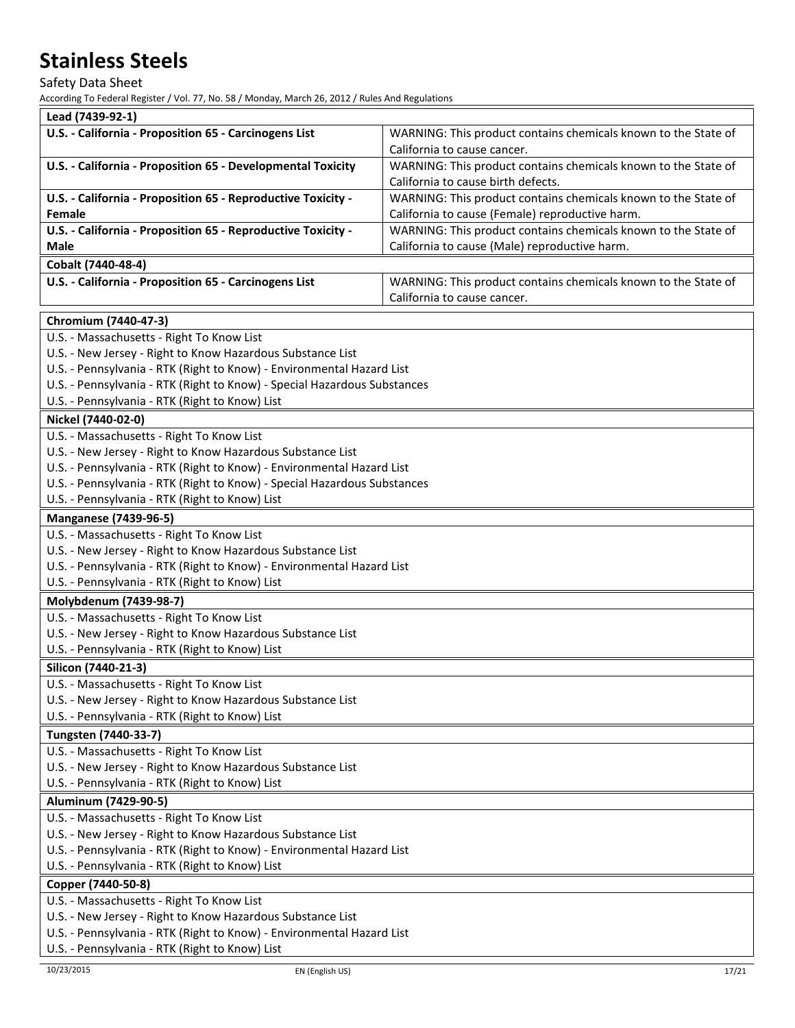Safety Data Sheet

| Lead (7439-92-1)                                                                                                        |                                                                |  |
|-------------------------------------------------------------------------------------------------------------------------|----------------------------------------------------------------|--|
| U.S. - California - Proposition 65 - Carcinogens List                                                                   | WARNING: This product contains chemicals known to the State of |  |
|                                                                                                                         | California to cause cancer.                                    |  |
| U.S. - California - Proposition 65 - Developmental Toxicity                                                             | WARNING: This product contains chemicals known to the State of |  |
|                                                                                                                         | California to cause birth defects.                             |  |
| U.S. - California - Proposition 65 - Reproductive Toxicity -                                                            | WARNING: This product contains chemicals known to the State of |  |
| Female                                                                                                                  | California to cause (Female) reproductive harm.                |  |
| U.S. - California - Proposition 65 - Reproductive Toxicity -                                                            | WARNING: This product contains chemicals known to the State of |  |
| Male                                                                                                                    | California to cause (Male) reproductive harm.                  |  |
| Cobalt (7440-48-4)                                                                                                      |                                                                |  |
| U.S. - California - Proposition 65 - Carcinogens List                                                                   | WARNING: This product contains chemicals known to the State of |  |
|                                                                                                                         | California to cause cancer.                                    |  |
| Chromium (7440-47-3)                                                                                                    |                                                                |  |
| U.S. - Massachusetts - Right To Know List                                                                               |                                                                |  |
| U.S. - New Jersey - Right to Know Hazardous Substance List                                                              |                                                                |  |
| U.S. - Pennsylvania - RTK (Right to Know) - Environmental Hazard List                                                   |                                                                |  |
| U.S. - Pennsylvania - RTK (Right to Know) - Special Hazardous Substances                                                |                                                                |  |
| U.S. - Pennsylvania - RTK (Right to Know) List                                                                          |                                                                |  |
| Nickel (7440-02-0)                                                                                                      |                                                                |  |
| U.S. - Massachusetts - Right To Know List                                                                               |                                                                |  |
| U.S. - New Jersey - Right to Know Hazardous Substance List                                                              |                                                                |  |
| U.S. - Pennsylvania - RTK (Right to Know) - Environmental Hazard List                                                   |                                                                |  |
| U.S. - Pennsylvania - RTK (Right to Know) - Special Hazardous Substances                                                |                                                                |  |
| U.S. - Pennsylvania - RTK (Right to Know) List                                                                          |                                                                |  |
| <b>Manganese (7439-96-5)</b>                                                                                            |                                                                |  |
| U.S. - Massachusetts - Right To Know List                                                                               |                                                                |  |
| U.S. - New Jersey - Right to Know Hazardous Substance List                                                              |                                                                |  |
| U.S. - Pennsylvania - RTK (Right to Know) - Environmental Hazard List                                                   |                                                                |  |
| U.S. - Pennsylvania - RTK (Right to Know) List                                                                          |                                                                |  |
| Molybdenum (7439-98-7)                                                                                                  |                                                                |  |
| U.S. - Massachusetts - Right To Know List                                                                               |                                                                |  |
| U.S. - New Jersey - Right to Know Hazardous Substance List                                                              |                                                                |  |
| U.S. - Pennsylvania - RTK (Right to Know) List                                                                          |                                                                |  |
| Silicon (7440-21-3)                                                                                                     |                                                                |  |
| U.S. - Massachusetts - Right To Know List                                                                               |                                                                |  |
| U.S. - New Jersey - Right to Know Hazardous Substance List                                                              |                                                                |  |
| U.S. - Pennsylvania - RTK (Right to Know) List                                                                          |                                                                |  |
| Tungsten (7440-33-7)                                                                                                    |                                                                |  |
| U.S. - Massachusetts - Right To Know List                                                                               |                                                                |  |
| U.S. - New Jersey - Right to Know Hazardous Substance List                                                              |                                                                |  |
| U.S. - Pennsylvania - RTK (Right to Know) List                                                                          |                                                                |  |
| Aluminum (7429-90-5)                                                                                                    |                                                                |  |
| U.S. - Massachusetts - Right To Know List                                                                               |                                                                |  |
| U.S. - New Jersey - Right to Know Hazardous Substance List                                                              |                                                                |  |
| U.S. - Pennsylvania - RTK (Right to Know) - Environmental Hazard List                                                   |                                                                |  |
| U.S. - Pennsylvania - RTK (Right to Know) List                                                                          |                                                                |  |
| Copper (7440-50-8)                                                                                                      |                                                                |  |
| U.S. - Massachusetts - Right To Know List                                                                               |                                                                |  |
| U.S. - New Jersey - Right to Know Hazardous Substance List                                                              |                                                                |  |
| U.S. - Pennsylvania - RTK (Right to Know) - Environmental Hazard List<br>U.S. - Pennsylvania - RTK (Right to Know) List |                                                                |  |
|                                                                                                                         |                                                                |  |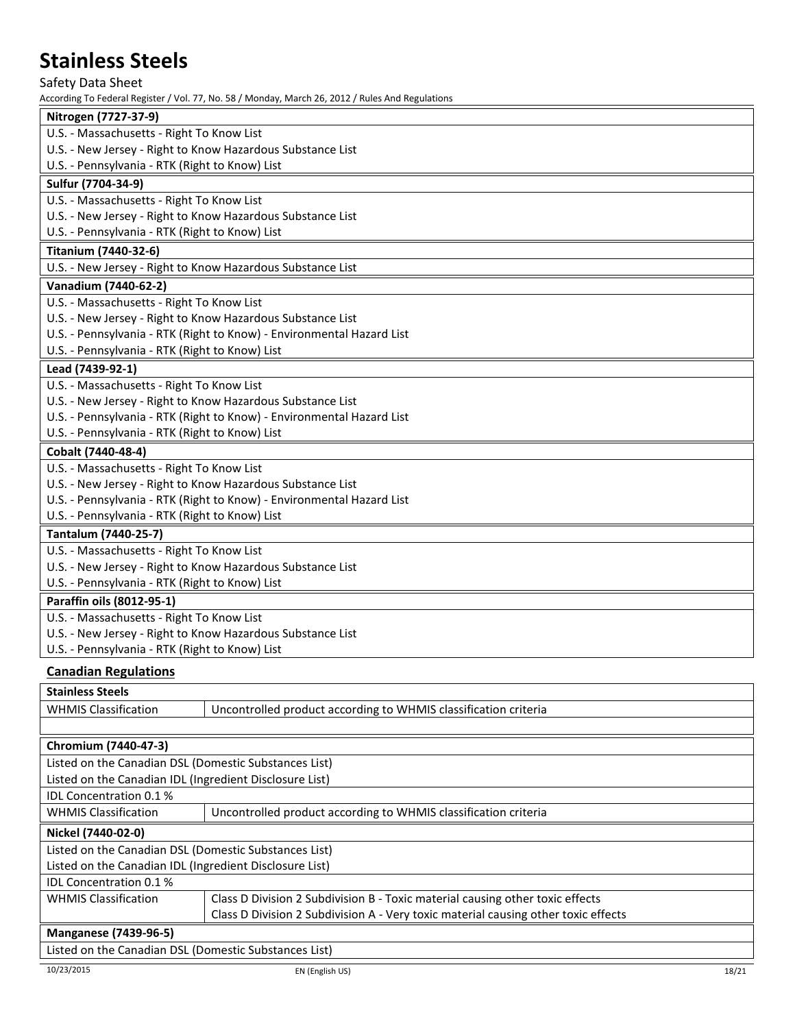Safety Data Sheet

| ACCORDING TO FEDERAL NEGROCE 7 VOI. 77, NO. 30 7 IVIORIQA, IVIATCH ZO, ZOIZ 7 INDIES AND NEGUIALIONS |
|------------------------------------------------------------------------------------------------------|
| Nitrogen (7727-37-9)                                                                                 |
| U.S. - Massachusetts - Right To Know List                                                            |
| U.S. - New Jersey - Right to Know Hazardous Substance List                                           |
| U.S. - Pennsylvania - RTK (Right to Know) List                                                       |
| Sulfur (7704-34-9)                                                                                   |
| U.S. - Massachusetts - Right To Know List                                                            |
| U.S. - New Jersey - Right to Know Hazardous Substance List                                           |
| U.S. - Pennsylvania - RTK (Right to Know) List                                                       |
| <b>Titanium (7440-32-6)</b>                                                                          |
| U.S. - New Jersey - Right to Know Hazardous Substance List                                           |
| Vanadium (7440-62-2)                                                                                 |
| U.S. - Massachusetts - Right To Know List                                                            |
| U.S. - New Jersey - Right to Know Hazardous Substance List                                           |
| U.S. - Pennsylvania - RTK (Right to Know) - Environmental Hazard List                                |
| U.S. - Pennsylvania - RTK (Right to Know) List                                                       |
| Lead (7439-92-1)                                                                                     |
| U.S. - Massachusetts - Right To Know List                                                            |
| U.S. - New Jersey - Right to Know Hazardous Substance List                                           |
| U.S. - Pennsylvania - RTK (Right to Know) - Environmental Hazard List                                |
| U.S. - Pennsylvania - RTK (Right to Know) List                                                       |
| Cobalt (7440-48-4)                                                                                   |
| U.S. - Massachusetts - Right To Know List                                                            |
| U.S. - New Jersey - Right to Know Hazardous Substance List                                           |
| U.S. - Pennsylvania - RTK (Right to Know) - Environmental Hazard List                                |
| U.S. - Pennsylvania - RTK (Right to Know) List                                                       |
| <b>Tantalum (7440-25-7)</b>                                                                          |
| U.S. - Massachusetts - Right To Know List                                                            |
| U.S. - New Jersey - Right to Know Hazardous Substance List                                           |
| U.S. - Pennsylvania - RTK (Right to Know) List                                                       |
| Paraffin oils (8012-95-1)                                                                            |
| U.S. - Massachusetts - Right To Know List                                                            |
| U.S. - New Jersey - Right to Know Hazardous Substance List                                           |
| U.S. - Pennsylvania - RTK (Right to Know) List                                                       |
| <b>Canadian Regulations</b>                                                                          |
| Stainlace Staale                                                                                     |

| <b>Stalliess Steels</b>                                 |                                                                                    |  |
|---------------------------------------------------------|------------------------------------------------------------------------------------|--|
| <b>WHMIS Classification</b>                             | Uncontrolled product according to WHMIS classification criteria                    |  |
|                                                         |                                                                                    |  |
| Chromium (7440-47-3)                                    |                                                                                    |  |
| Listed on the Canadian DSL (Domestic Substances List)   |                                                                                    |  |
| Listed on the Canadian IDL (Ingredient Disclosure List) |                                                                                    |  |
| <b>IDL Concentration 0.1%</b>                           |                                                                                    |  |
| <b>WHMIS Classification</b>                             | Uncontrolled product according to WHMIS classification criteria                    |  |
| Nickel (7440-02-0)                                      |                                                                                    |  |
| Listed on the Canadian DSL (Domestic Substances List)   |                                                                                    |  |
| Listed on the Canadian IDL (Ingredient Disclosure List) |                                                                                    |  |
| <b>IDL Concentration 0.1%</b>                           |                                                                                    |  |
| <b>WHMIS Classification</b>                             | Class D Division 2 Subdivision B - Toxic material causing other toxic effects      |  |
|                                                         | Class D Division 2 Subdivision A - Very toxic material causing other toxic effects |  |
| <b>Manganese (7439-96-5)</b>                            |                                                                                    |  |
| Listed on the Canadian DSL (Domestic Substances List)   |                                                                                    |  |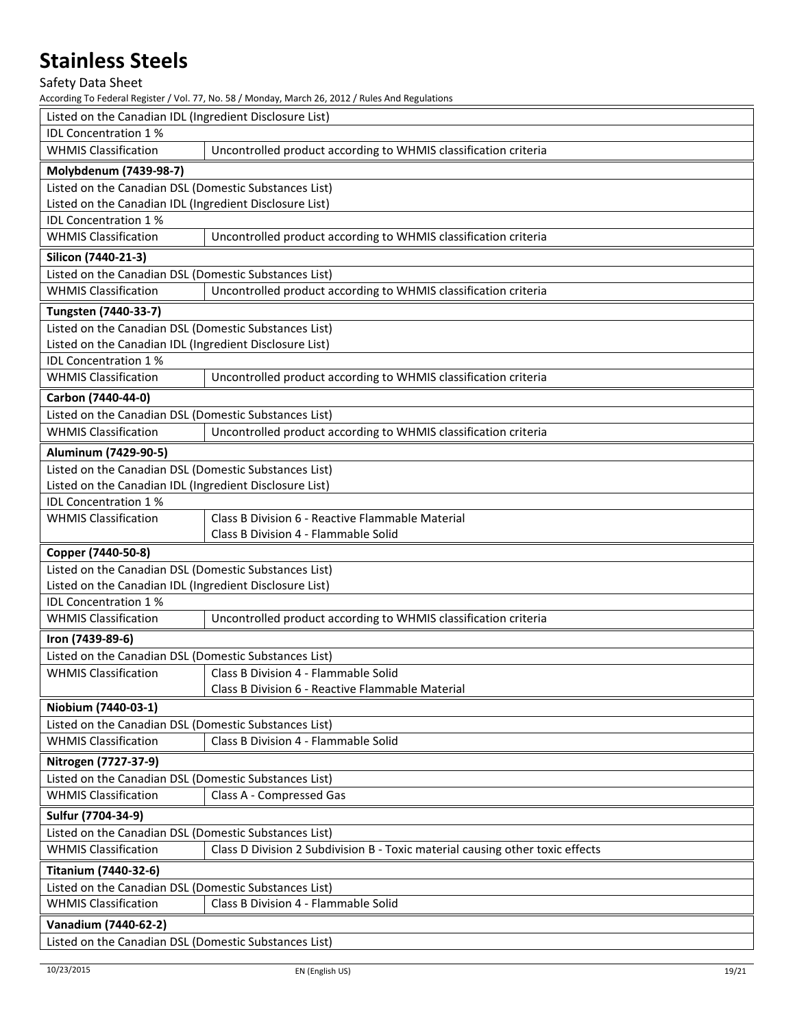Safety Data Sheet

| Listed on the Canadian IDL (Ingredient Disclosure List) |                                                                               |  |
|---------------------------------------------------------|-------------------------------------------------------------------------------|--|
| <b>IDL Concentration 1%</b>                             |                                                                               |  |
| <b>WHMIS Classification</b>                             | Uncontrolled product according to WHMIS classification criteria               |  |
| Molybdenum (7439-98-7)                                  |                                                                               |  |
| Listed on the Canadian DSL (Domestic Substances List)   |                                                                               |  |
| Listed on the Canadian IDL (Ingredient Disclosure List) |                                                                               |  |
| IDL Concentration 1%                                    |                                                                               |  |
| <b>WHMIS Classification</b>                             | Uncontrolled product according to WHMIS classification criteria               |  |
| Silicon (7440-21-3)                                     |                                                                               |  |
| Listed on the Canadian DSL (Domestic Substances List)   |                                                                               |  |
| <b>WHMIS Classification</b>                             | Uncontrolled product according to WHMIS classification criteria               |  |
| Tungsten (7440-33-7)                                    |                                                                               |  |
| Listed on the Canadian DSL (Domestic Substances List)   |                                                                               |  |
| Listed on the Canadian IDL (Ingredient Disclosure List) |                                                                               |  |
| <b>IDL Concentration 1%</b>                             |                                                                               |  |
| <b>WHMIS Classification</b>                             | Uncontrolled product according to WHMIS classification criteria               |  |
| Carbon (7440-44-0)                                      |                                                                               |  |
| Listed on the Canadian DSL (Domestic Substances List)   |                                                                               |  |
| <b>WHMIS Classification</b>                             | Uncontrolled product according to WHMIS classification criteria               |  |
| Aluminum (7429-90-5)                                    |                                                                               |  |
| Listed on the Canadian DSL (Domestic Substances List)   |                                                                               |  |
| Listed on the Canadian IDL (Ingredient Disclosure List) |                                                                               |  |
| IDL Concentration 1%                                    |                                                                               |  |
| <b>WHMIS Classification</b>                             | Class B Division 6 - Reactive Flammable Material                              |  |
|                                                         | Class B Division 4 - Flammable Solid                                          |  |
| Copper (7440-50-8)                                      |                                                                               |  |
| Listed on the Canadian DSL (Domestic Substances List)   |                                                                               |  |
| Listed on the Canadian IDL (Ingredient Disclosure List) |                                                                               |  |
| IDL Concentration 1%                                    |                                                                               |  |
| <b>WHMIS Classification</b>                             | Uncontrolled product according to WHMIS classification criteria               |  |
| Iron (7439-89-6)                                        |                                                                               |  |
| Listed on the Canadian DSL (Domestic Substances List)   |                                                                               |  |
| <b>WHMIS Classification</b>                             | Class B Division 4 - Flammable Solid                                          |  |
|                                                         | Class B Division 6 - Reactive Flammable Material                              |  |
| Niobium (7440-03-1)                                     |                                                                               |  |
| Listed on the Canadian DSL (Domestic Substances List)   |                                                                               |  |
| <b>WHMIS Classification</b>                             | Class B Division 4 - Flammable Solid                                          |  |
| Nitrogen (7727-37-9)                                    |                                                                               |  |
| Listed on the Canadian DSL (Domestic Substances List)   |                                                                               |  |
| <b>WHMIS Classification</b>                             | Class A - Compressed Gas                                                      |  |
| Sulfur (7704-34-9)                                      |                                                                               |  |
| Listed on the Canadian DSL (Domestic Substances List)   |                                                                               |  |
| <b>WHMIS Classification</b>                             | Class D Division 2 Subdivision B - Toxic material causing other toxic effects |  |
| <b>Titanium (7440-32-6)</b>                             |                                                                               |  |
| Listed on the Canadian DSL (Domestic Substances List)   |                                                                               |  |
| <b>WHMIS Classification</b>                             | Class B Division 4 - Flammable Solid                                          |  |
| Vanadium (7440-62-2)                                    |                                                                               |  |
| Listed on the Canadian DSL (Domestic Substances List)   |                                                                               |  |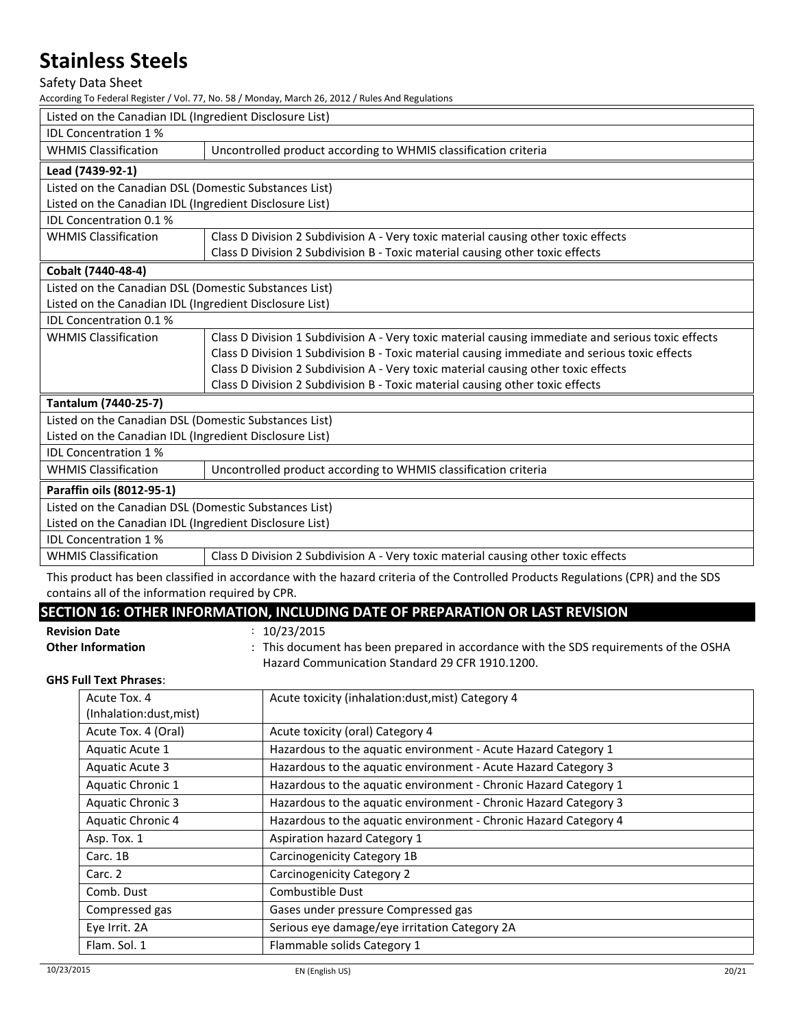Safety Data Sheet

According To Federal Register / Vol. 77, No. 58 / Monday, March 26, 2012 / Rules And Regulations

| Listed on the Canadian IDL (Ingredient Disclosure List) |                                                                                                                                  |
|---------------------------------------------------------|----------------------------------------------------------------------------------------------------------------------------------|
| <b>IDL Concentration 1%</b>                             |                                                                                                                                  |
| <b>WHMIS Classification</b>                             | Uncontrolled product according to WHMIS classification criteria                                                                  |
| Lead (7439-92-1)                                        |                                                                                                                                  |
| Listed on the Canadian DSL (Domestic Substances List)   |                                                                                                                                  |
| Listed on the Canadian IDL (Ingredient Disclosure List) |                                                                                                                                  |
| IDL Concentration 0.1 %                                 |                                                                                                                                  |
| <b>WHMIS Classification</b>                             | Class D Division 2 Subdivision A - Very toxic material causing other toxic effects                                               |
|                                                         | Class D Division 2 Subdivision B - Toxic material causing other toxic effects                                                    |
| Cobalt (7440-48-4)                                      |                                                                                                                                  |
| Listed on the Canadian DSL (Domestic Substances List)   |                                                                                                                                  |
| Listed on the Canadian IDL (Ingredient Disclosure List) |                                                                                                                                  |
| <b>IDL Concentration 0.1%</b>                           |                                                                                                                                  |
| <b>WHMIS Classification</b>                             | Class D Division 1 Subdivision A - Very toxic material causing immediate and serious toxic effects                               |
|                                                         | Class D Division 1 Subdivision B - Toxic material causing immediate and serious toxic effects                                    |
|                                                         | Class D Division 2 Subdivision A - Very toxic material causing other toxic effects                                               |
|                                                         | Class D Division 2 Subdivision B - Toxic material causing other toxic effects                                                    |
| Tantalum (7440-25-7)                                    |                                                                                                                                  |
| Listed on the Canadian DSL (Domestic Substances List)   |                                                                                                                                  |
| Listed on the Canadian IDL (Ingredient Disclosure List) |                                                                                                                                  |
| <b>IDL Concentration 1%</b>                             |                                                                                                                                  |
| <b>WHMIS Classification</b>                             | Uncontrolled product according to WHMIS classification criteria                                                                  |
| Paraffin oils (8012-95-1)                               |                                                                                                                                  |
| Listed on the Canadian DSL (Domestic Substances List)   |                                                                                                                                  |
| Listed on the Canadian IDL (Ingredient Disclosure List) |                                                                                                                                  |
| <b>IDL Concentration 1%</b>                             |                                                                                                                                  |
| <b>WHMIS Classification</b>                             | Class D Division 2 Subdivision A - Very toxic material causing other toxic effects                                               |
|                                                         | This product has been classified in accordance with the hazard criteria of the Controlled Products Regulations (CPR) and the SDS |

This product has been classified in accordance with the hazard criteria of the Controlled Products Regulations (CPR) and the SDS contains all of the information required by CPR.

## **SECTION 16: OTHER INFORMATION, INCLUDING DATE OF PREPARATION OR LAST REVISION**

**Revision Date** : 10/23/2015

Other Information : This document has been prepared in accordance with the SDS requirements of the OSHA Hazard Communication Standard 29 CFR 1910.1200.

### **GHS Full Text Phrases**:

| Acute Tox. 4<br>(Inhalation:dust, mist) | Acute toxicity (inhalation:dust, mist) Category 4                |
|-----------------------------------------|------------------------------------------------------------------|
| Acute Tox. 4 (Oral)                     | Acute toxicity (oral) Category 4                                 |
| Aquatic Acute 1                         | Hazardous to the aquatic environment - Acute Hazard Category 1   |
| Aquatic Acute 3                         | Hazardous to the aquatic environment - Acute Hazard Category 3   |
| Aquatic Chronic 1                       | Hazardous to the aquatic environment - Chronic Hazard Category 1 |
| <b>Aquatic Chronic 3</b>                | Hazardous to the aquatic environment - Chronic Hazard Category 3 |
| Aquatic Chronic 4                       | Hazardous to the aquatic environment - Chronic Hazard Category 4 |
| Asp. Tox. 1                             | Aspiration hazard Category 1                                     |
| Carc. 1B                                | Carcinogenicity Category 1B                                      |
| Carc. 2                                 | Carcinogenicity Category 2                                       |
| Comb. Dust                              | Combustible Dust                                                 |
| Compressed gas                          | Gases under pressure Compressed gas                              |
| Eye Irrit. 2A                           | Serious eye damage/eye irritation Category 2A                    |
| Flam. Sol. 1                            | Flammable solids Category 1                                      |